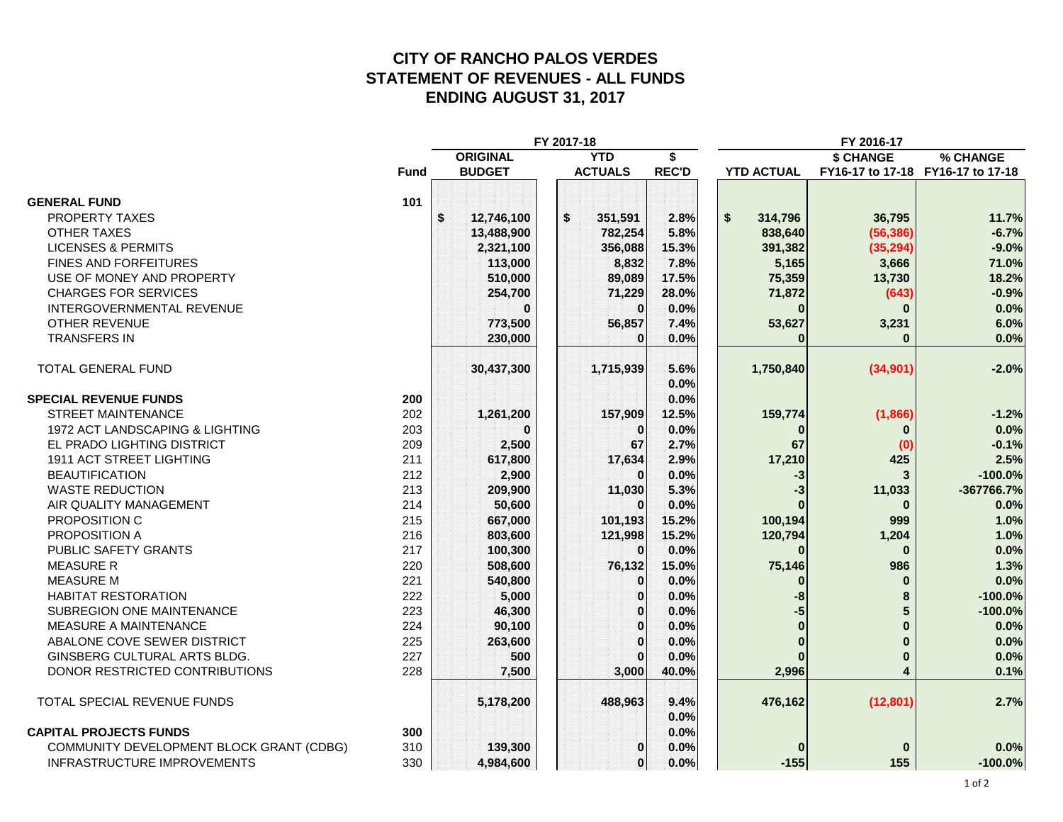### **CITY OF RANCHO PALOS VERDES STATEMENT OF REVENUES - ALL FUNDS ENDING AUGUST 31, 2017**

|                                          |             | FY 2017-18   |                 |  |                        |              | FY 2016-17        |               |                                   |
|------------------------------------------|-------------|--------------|-----------------|--|------------------------|--------------|-------------------|---------------|-----------------------------------|
|                                          |             |              | <b>ORIGINAL</b> |  | <b>YTD</b>             | \$           |                   | \$ CHANGE     | % CHANGE                          |
|                                          | <b>Fund</b> |              | <b>BUDGET</b>   |  | <b>ACTUALS</b>         | <b>REC'D</b> | <b>YTD ACTUAL</b> |               | FY16-17 to 17-18 FY16-17 to 17-18 |
|                                          |             |              |                 |  |                        |              |                   |               |                                   |
| <b>GENERAL FUND</b>                      | 101         |              |                 |  |                        |              |                   |               |                                   |
| PROPERTY TAXES                           |             | $\mathbf{s}$ | 12,746,100      |  | $\mathbf s$<br>351,591 | 2.8%         | \$<br>314,796     | 36,795        | 11.7%                             |
| <b>OTHER TAXES</b>                       |             |              | 13,488,900      |  | 782,254                | 5.8%         | 838,640           | (56, 386)     | $-6.7%$                           |
| <b>LICENSES &amp; PERMITS</b>            |             |              | 2,321,100       |  | 356,088                | 15.3%        | 391,382           | (35, 294)     | $-9.0%$                           |
| FINES AND FORFEITURES                    |             |              | 113,000         |  | 8,832                  | 7.8%         | 5,165             | 3,666         | 71.0%                             |
| USE OF MONEY AND PROPERTY                |             |              | 510,000         |  | 89,089                 | 17.5%        | 75,359            | 13,730        | 18.2%                             |
| <b>CHARGES FOR SERVICES</b>              |             |              | 254,700         |  | 71,229                 | 28.0%        | 71,872            | (643)         | $-0.9%$                           |
| INTERGOVERNMENTAL REVENUE                |             |              |                 |  | $\Omega$               | 0.0%         |                   | U             | 0.0%                              |
| <b>OTHER REVENUE</b>                     |             |              | 773,500         |  | 56,857                 | 7.4%         | 53,627            | 3,231         | 6.0%                              |
| <b>TRANSFERS IN</b>                      |             |              | 230,000         |  | $\Omega$               | 0.0%         |                   | $\Omega$<br>U | 0.0%                              |
| TOTAL GENERAL FUND                       |             |              | 30,437,300      |  | 1,715,939              | 5.6%         | 1,750,840         | (34, 901)     | $-2.0%$                           |
|                                          |             |              |                 |  |                        | 0.0%         |                   |               |                                   |
| <b>SPECIAL REVENUE FUNDS</b>             | 200         |              |                 |  |                        | 0.0%         |                   |               |                                   |
| <b>STREET MAINTENANCE</b>                | 202         |              | 1,261,200       |  | 157,909                | 12.5%        | 159,774           | (1,866)       | $-1.2%$                           |
| 1972 ACT LANDSCAPING & LIGHTING          | 203         |              |                 |  | $\bf{0}$               | 0.0%         |                   | n             | 0.0%                              |
| EL PRADO LIGHTING DISTRICT               | 209         |              | 2,500           |  | 67                     | 2.7%         | 67                | (0            | $-0.1%$                           |
| 1911 ACT STREET LIGHTING                 | 211         |              | 617,800         |  | 17,634                 | 2.9%         | 17,210            | 425           | 2.5%                              |
| <b>BEAUTIFICATION</b>                    | 212         |              | 2,900           |  | $\Omega$               | 0.0%         | -3                |               | $-100.0%$                         |
| <b>WASTE REDUCTION</b>                   | 213         |              | 209,900         |  | 11,030                 | 5.3%         | -3                | 11,033        | -367766.7%                        |
| AIR QUALITY MANAGEMENT                   | 214         |              | 50,600          |  |                        | 0.0%         |                   | $\bf{0}$      | 0.0%                              |
| PROPOSITION C                            | 215         |              | 667,000         |  | 101,193                | 15.2%        | 100,194           | 999           | 1.0%                              |
| PROPOSITION A                            | 216         |              | 803,600         |  | 121,998                | 15.2%        | 120,794           | 1,204         | 1.0%                              |
| PUBLIC SAFETY GRANTS                     | 217         |              | 100,300         |  | $\Omega$               | 0.0%         |                   | $\Omega$      | 0.0%                              |
| <b>MEASURE R</b>                         | 220         |              | 508,600         |  | 76,132                 | 15.0%        | 75,146            | 986           | 1.3%                              |
| <b>MEASURE M</b>                         | 221         |              | 540,800         |  | $\bf{0}$               | 0.0%         |                   | U<br>$\Omega$ | 0.0%                              |
| <b>HABITAT RESTORATION</b>               | 222         |              | 5,000           |  | $\bf{0}$               | 0.0%         | -8                | 8             | $-100.0%$                         |
| SUBREGION ONE MAINTENANCE                | 223         |              | 46,300          |  | $\bf{0}$               | 0.0%         | -5                | 5             | $-100.0%$                         |
| MEASURE A MAINTENANCE                    | 224         |              | 90,100          |  | $\mathbf{0}$           | 0.0%         | $\bf{0}$          | $\Omega$      | 0.0%                              |
| ABALONE COVE SEWER DISTRICT              | 225         |              | 263,600         |  | $\bf{0}$               | 0.0%         | $\bf{0}$          | $\bf{0}$      | 0.0%                              |
| GINSBERG CULTURAL ARTS BLDG.             | 227         |              | 500             |  | $\bf{0}$               | 0.0%         |                   | U<br>$\bf{0}$ | 0.0%                              |
| DONOR RESTRICTED CONTRIBUTIONS           | 228         |              | 7,500           |  | 3,000                  | 40.0%        | 2,996             | 4             | 0.1%                              |
|                                          |             |              |                 |  |                        |              |                   |               |                                   |
| TOTAL SPECIAL REVENUE FUNDS              |             |              | 5,178,200       |  | 488,963                | 9.4%         | 476,162           | (12, 801)     | 2.7%                              |
|                                          |             |              |                 |  |                        | 0.0%         |                   |               |                                   |
| <b>CAPITAL PROJECTS FUNDS</b>            | 300         |              |                 |  |                        | 0.0%         |                   |               |                                   |
| COMMUNITY DEVELOPMENT BLOCK GRANT (CDBG) | 310         |              | 139,300         |  | $\bf{0}$               | 0.0%         |                   |               | 0.0%                              |
| INFRASTRUCTURE IMPROVEMENTS              | 330         |              | 4,984,600       |  | 0                      | 0.0%         | $-155$            | 155           | $-100.0%$                         |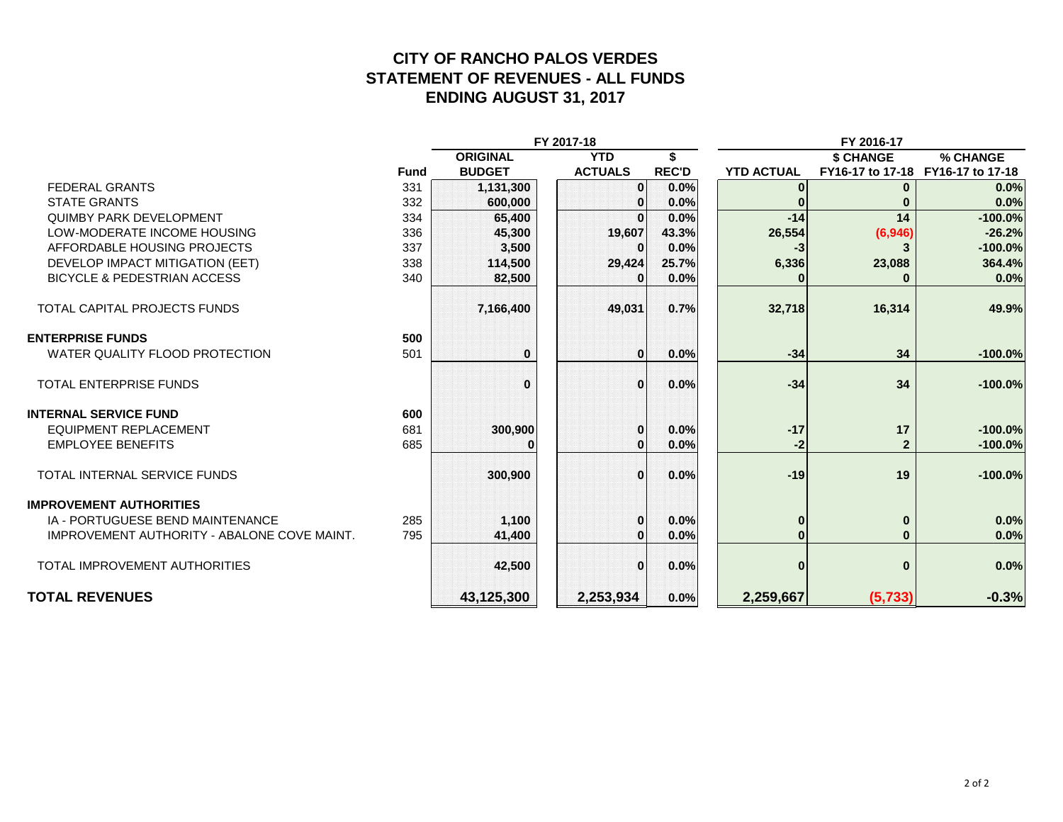### **CITY OF RANCHO PALOS VERDES STATEMENT OF REVENUES - ALL FUNDS ENDING AUGUST 31, 2017**

|                                             | FY 2017-18<br>FY 2016-17 |                 |                |              |                   |                                   |           |
|---------------------------------------------|--------------------------|-----------------|----------------|--------------|-------------------|-----------------------------------|-----------|
|                                             |                          | <b>ORIGINAL</b> | <b>YTD</b>     | \$           |                   | \$ CHANGE                         | % CHANGE  |
|                                             | <b>Fund</b>              | <b>BUDGET</b>   | <b>ACTUALS</b> | <b>REC'D</b> | <b>YTD ACTUAL</b> | FY16-17 to 17-18 FY16-17 to 17-18 |           |
| <b>FEDERAL GRANTS</b>                       | 331                      | 1,131,300       | 0              | 0.0%         |                   | $\bf{0}$                          | 0.0%      |
| <b>STATE GRANTS</b>                         | 332                      | 600,000         |                | 0.0%         |                   |                                   | 0.0%      |
| <b>QUIMBY PARK DEVELOPMENT</b>              | 334                      | 65,400          |                | 0.0%         | $-14$             | 14                                | $-100.0%$ |
| LOW-MODERATE INCOME HOUSING                 | 336                      | 45,300          | 19,607         | 43.3%        | 26,554            | (6,946)                           | $-26.2%$  |
| AFFORDABLE HOUSING PROJECTS                 | 337                      | 3,500           |                | 0.0%         | -3                |                                   | $-100.0%$ |
| DEVELOP IMPACT MITIGATION (EET)             | 338                      | 114,500         | 29,424         | 25.7%        | 6,336             | 23,088                            | 364.4%    |
| <b>BICYCLE &amp; PEDESTRIAN ACCESS</b>      | 340                      | 82,500          |                | 0.0%         |                   |                                   | 0.0%      |
| TOTAL CAPITAL PROJECTS FUNDS                |                          | 7,166,400       | 49,031         | 0.7%         | 32,718            | 16,314                            | 49.9%     |
| <b>ENTERPRISE FUNDS</b>                     | 500                      |                 |                |              |                   |                                   |           |
| WATER QUALITY FLOOD PROTECTION              | 501                      | $\bf{0}$        | $\Omega$       | 0.0%         | $-34$             | 34                                | $-100.0%$ |
| <b>TOTAL ENTERPRISE FUNDS</b>               |                          | $\Omega$        | $\Omega$       | 0.0%         | $-34$             | 34                                | $-100.0%$ |
| <b>INTERNAL SERVICE FUND</b>                | 600                      |                 |                |              |                   |                                   |           |
| <b>EQUIPMENT REPLACEMENT</b>                | 681                      | 300,900         |                | 0.0%         | $-17$             | 17                                | $-100.0%$ |
| <b>EMPLOYEE BENEFITS</b>                    | 685                      |                 | 01             | 0.0%         | -2                | $\mathbf{2}$                      | $-100.0%$ |
| <b>TOTAL INTERNAL SERVICE FUNDS</b>         |                          | 300,900         | $\Omega$       | 0.0%         | $-19$             | 19                                | $-100.0%$ |
| <b>IMPROVEMENT AUTHORITIES</b>              |                          |                 |                |              |                   |                                   |           |
| IA - PORTUGUESE BEND MAINTENANCE            | 285                      | 1,100           | 0              | 0.0%         | $\bf{0}$          | $\mathbf{0}$                      | 0.0%      |
| IMPROVEMENT AUTHORITY - ABALONE COVE MAINT. | 795                      | 41,400          |                | 0.0%         |                   | $\bf{0}$                          | 0.0%      |
| <b>TOTAL IMPROVEMENT AUTHORITIES</b>        |                          | 42,500          | $\Omega$       | 0.0%         | $\Omega$          | $\bf{0}$                          | 0.0%      |
| <b>TOTAL REVENUES</b>                       |                          | 43,125,300      | 2,253,934      | 0.0%         | 2,259,667         | (5, 733)                          | $-0.3%$   |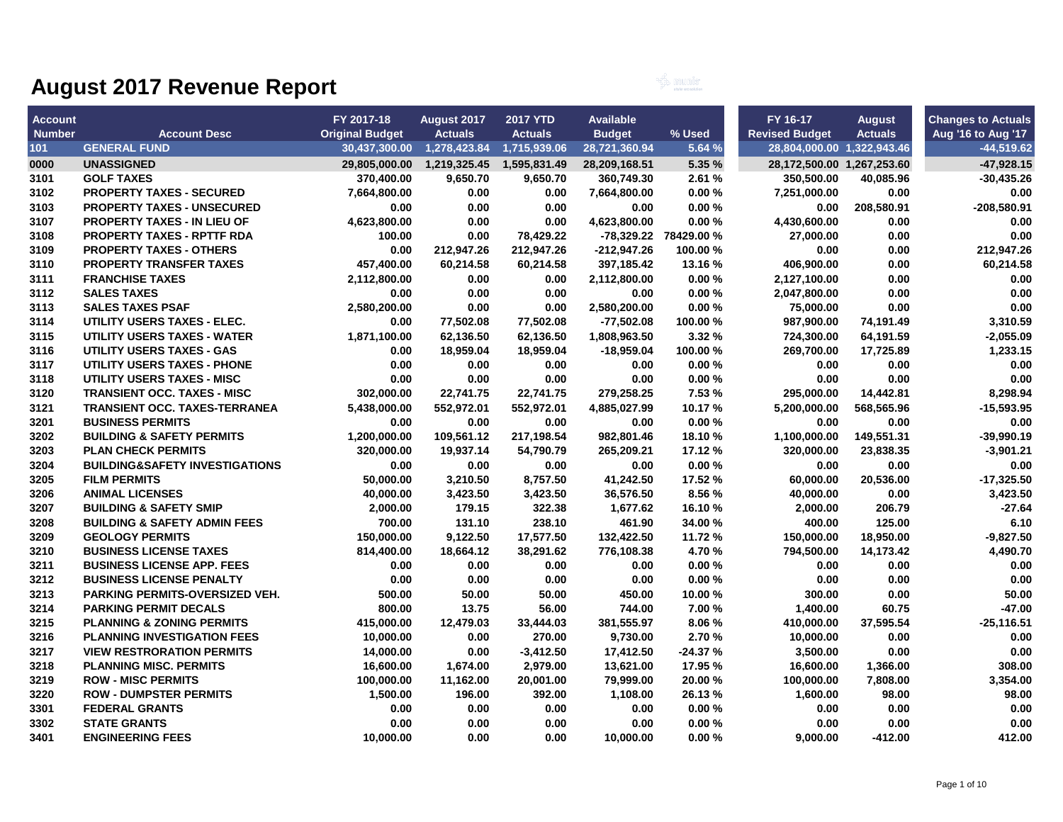

| <b>Account</b> |                                           | FY 2017-18             | August 2017                               | <b>2017 YTD</b> | <b>Available</b> |                       | FY 16-17                   | <b>August</b>  | <b>Changes to Actuals</b> |
|----------------|-------------------------------------------|------------------------|-------------------------------------------|-----------------|------------------|-----------------------|----------------------------|----------------|---------------------------|
| <b>Number</b>  | <b>Account Desc</b>                       | <b>Original Budget</b> | <b>Actuals</b>                            | <b>Actuals</b>  | <b>Budget</b>    | % Used                | <b>Revised Budget</b>      | <b>Actuals</b> | Aug '16 to Aug '17        |
| 101            | <b>GENERAL FUND</b>                       |                        | 30,437,300.00  1,278,423.84  1,715,939.06 |                 | 28,721,360.94    | 5.64 %                | 28,804,000.00 1,322,943.46 |                | $-44,519.62$              |
| 0000           | <b>UNASSIGNED</b>                         |                        | 29,805,000.00  1,219,325.45  1,595,831.49 |                 | 28,209,168.51    | 5.35 %                | 28,172,500.00 1,267,253.60 |                | $-47,928.15$              |
| 3101           | <b>GOLF TAXES</b>                         | 370,400.00             | 9,650.70                                  | 9.650.70        | 360.749.30       | 2.61%                 | 350.500.00                 | 40.085.96      | $-30.435.26$              |
| 3102           | <b>PROPERTY TAXES - SECURED</b>           | 7,664,800.00           | 0.00                                      | 0.00            | 7,664,800.00     | 0.00%                 | 7,251,000.00               | 0.00           | 0.00                      |
| 3103           | <b>PROPERTY TAXES - UNSECURED</b>         | 0.00                   | 0.00                                      | 0.00            | 0.00             | 0.00%                 | 0.00                       | 208,580.91     | -208,580.91               |
| 3107           | <b>PROPERTY TAXES - IN LIEU OF</b>        | 4,623,800.00           | 0.00                                      | 0.00            | 4,623,800.00     | 0.00%                 | 4,430,600.00               | 0.00           | 0.00                      |
| 3108           | <b>PROPERTY TAXES - RPTTF RDA</b>         | 100.00                 | 0.00                                      | 78,429.22       |                  | -78,329.22 78429.00 % | 27,000.00                  | 0.00           | 0.00                      |
| 3109           | <b>PROPERTY TAXES - OTHERS</b>            | 0.00                   | 212,947.26                                | 212,947.26      | $-212,947.26$    | 100.00 %              | 0.00                       | 0.00           | 212,947.26                |
| 3110           | PROPERTY TRANSFER TAXES                   | 457.400.00             | 60,214.58                                 | 60,214.58       | 397,185.42       | 13.16 %               | 406.900.00                 | 0.00           | 60,214.58                 |
| 3111           | <b>FRANCHISE TAXES</b>                    | 2,112,800.00           | 0.00                                      | 0.00            | 2,112,800.00     | 0.00%                 | 2,127,100.00               | 0.00           | 0.00                      |
| 3112           | <b>SALES TAXES</b>                        | 0.00                   | 0.00                                      | 0.00            | 0.00             | 0.00%                 | 2,047,800.00               | 0.00           | 0.00                      |
| 3113           | <b>SALES TAXES PSAF</b>                   | 2,580,200.00           | 0.00                                      | 0.00            | 2,580,200.00     | 0.00%                 | 75,000.00                  | 0.00           | 0.00                      |
| 3114           | UTILITY USERS TAXES - ELEC.               | 0.00                   | 77,502.08                                 | 77,502.08       | $-77,502.08$     | 100.00%               | 987,900.00                 | 74,191.49      | 3,310.59                  |
| 3115           | <b>UTILITY USERS TAXES - WATER</b>        | 1,871,100.00           | 62,136.50                                 | 62,136.50       | 1,808,963.50     | 3.32 %                | 724,300.00                 | 64,191.59      | $-2,055.09$               |
| 3116           | UTILITY USERS TAXES - GAS                 | 0.00                   | 18,959.04                                 | 18,959.04       | -18,959.04       | 100.00 %              | 269,700.00                 | 17,725.89      | 1,233.15                  |
| 3117           | <b>UTILITY USERS TAXES - PHONE</b>        | 0.00                   | 0.00                                      | 0.00            | 0.00             | 0.00%                 | 0.00                       | 0.00           | 0.00                      |
| 3118           | <b>UTILITY USERS TAXES - MISC</b>         | 0.00                   | 0.00                                      | 0.00            | 0.00             | 0.00%                 | 0.00                       | 0.00           | 0.00                      |
| 3120           | <b>TRANSIENT OCC. TAXES - MISC</b>        | 302,000.00             | 22,741.75                                 | 22,741.75       | 279,258.25       | 7.53 %                | 295,000.00                 | 14,442.81      | 8,298.94                  |
| 3121           | <b>TRANSIENT OCC. TAXES-TERRANEA</b>      | 5,438,000.00           | 552,972.01                                | 552,972.01      | 4,885,027.99     | 10.17%                | 5,200,000.00               | 568,565.96     | $-15,593.95$              |
| 3201           | <b>BUSINESS PERMITS</b>                   | 0.00                   | 0.00                                      | 0.00            | 0.00             | 0.00%                 | 0.00                       | 0.00           | 0.00                      |
| 3202           | <b>BUILDING &amp; SAFETY PERMITS</b>      | 1,200,000.00           | 109,561.12                                | 217,198.54      | 982,801.46       | 18.10%                | 1,100,000.00               | 149,551.31     | $-39,990.19$              |
| 3203           | <b>PLAN CHECK PERMITS</b>                 | 320.000.00             | 19.937.14                                 | 54.790.79       | 265.209.21       | 17.12 %               | 320.000.00                 | 23,838.35      | $-3.901.21$               |
| 3204           | <b>BUILDING&amp;SAFETY INVESTIGATIONS</b> | 0.00                   | 0.00                                      | 0.00            | 0.00             | 0.00%                 | 0.00                       | 0.00           | 0.00                      |
| 3205           | <b>FILM PERMITS</b>                       | 50,000.00              | 3,210.50                                  | 8,757.50        | 41,242.50        | 17.52 %               | 60,000.00                  | 20,536.00      | $-17,325.50$              |
| 3206           | <b>ANIMAL LICENSES</b>                    | 40,000.00              | 3,423.50                                  | 3,423.50        | 36,576.50        | 8.56 %                | 40,000.00                  | 0.00           | 3,423.50                  |
| 3207           | <b>BUILDING &amp; SAFETY SMIP</b>         | 2,000.00               | 179.15                                    | 322.38          | 1,677.62         | 16.10%                | 2,000.00                   | 206.79         | $-27.64$                  |
| 3208           | <b>BUILDING &amp; SAFETY ADMIN FEES</b>   | 700.00                 | 131.10                                    | 238.10          | 461.90           | 34.00 %               | 400.00                     | 125.00         | 6.10                      |
| 3209           | <b>GEOLOGY PERMITS</b>                    | 150,000.00             | 9,122.50                                  | 17,577.50       | 132,422.50       | 11.72%                | 150,000.00                 | 18,950.00      | $-9,827.50$               |
| 3210           | <b>BUSINESS LICENSE TAXES</b>             | 814,400.00             | 18,664.12                                 | 38,291.62       | 776,108.38       | 4.70%                 | 794,500.00                 | 14,173.42      | 4,490.70                  |
| 3211           | <b>BUSINESS LICENSE APP. FEES</b>         | 0.00                   | 0.00                                      | 0.00            | 0.00             | 0.00%                 | 0.00                       | 0.00           | 0.00                      |
| 3212           | <b>BUSINESS LICENSE PENALTY</b>           | 0.00                   | 0.00                                      | 0.00            | 0.00             | 0.00%                 | 0.00                       | 0.00           | 0.00                      |
| 3213           | <b>PARKING PERMITS-OVERSIZED VEH.</b>     | 500.00                 | 50.00                                     | 50.00           | 450.00           | 10.00 %               | 300.00                     | 0.00           | 50.00                     |
| 3214           | <b>PARKING PERMIT DECALS</b>              | 800.00                 | 13.75                                     | 56.00           | 744.00           | 7.00 %                | 1,400.00                   | 60.75          | $-47.00$                  |
| 3215           | <b>PLANNING &amp; ZONING PERMITS</b>      | 415,000.00             | 12,479.03                                 | 33,444.03       | 381,555.97       | 8.06%                 | 410,000.00                 | 37,595.54      | $-25,116.51$              |
| 3216           | <b>PLANNING INVESTIGATION FEES</b>        | 10,000.00              | 0.00                                      | 270.00          | 9,730.00         | 2.70%                 | 10,000.00                  | 0.00           | 0.00                      |
| 3217           | <b>VIEW RESTRORATION PERMITS</b>          | 14,000.00              | 0.00                                      | $-3,412.50$     | 17,412.50        | $-24.37%$             | 3,500.00                   | 0.00           | 0.00                      |
| 3218           | <b>PLANNING MISC. PERMITS</b>             | 16,600.00              | 1,674.00                                  | 2,979.00        | 13,621.00        | 17.95 %               | 16,600.00                  | 1,366.00       | 308.00                    |
| 3219           | <b>ROW - MISC PERMITS</b>                 | 100,000.00             | 11,162.00                                 | 20,001.00       | 79,999.00        | 20.00 %               | 100,000.00                 | 7,808.00       | 3,354.00                  |
| 3220           | <b>ROW - DUMPSTER PERMITS</b>             | 1,500.00               | 196.00                                    | 392.00          | 1,108.00         | 26.13%                | 1,600.00                   | 98.00          | 98.00                     |
| 3301           | <b>FEDERAL GRANTS</b>                     | 0.00                   | 0.00                                      | 0.00            | 0.00             | 0.00%                 | 0.00                       | 0.00           | 0.00                      |
| 3302           | <b>STATE GRANTS</b>                       | 0.00                   | 0.00                                      | 0.00            | 0.00             | 0.00%                 | 0.00                       | 0.00           | 0.00                      |
| 3401           | <b>ENGINEERING FEES</b>                   | 10,000.00              | 0.00                                      | 0.00            | 10,000.00        | 0.00%                 | 9,000.00                   | $-412.00$      | 412.00                    |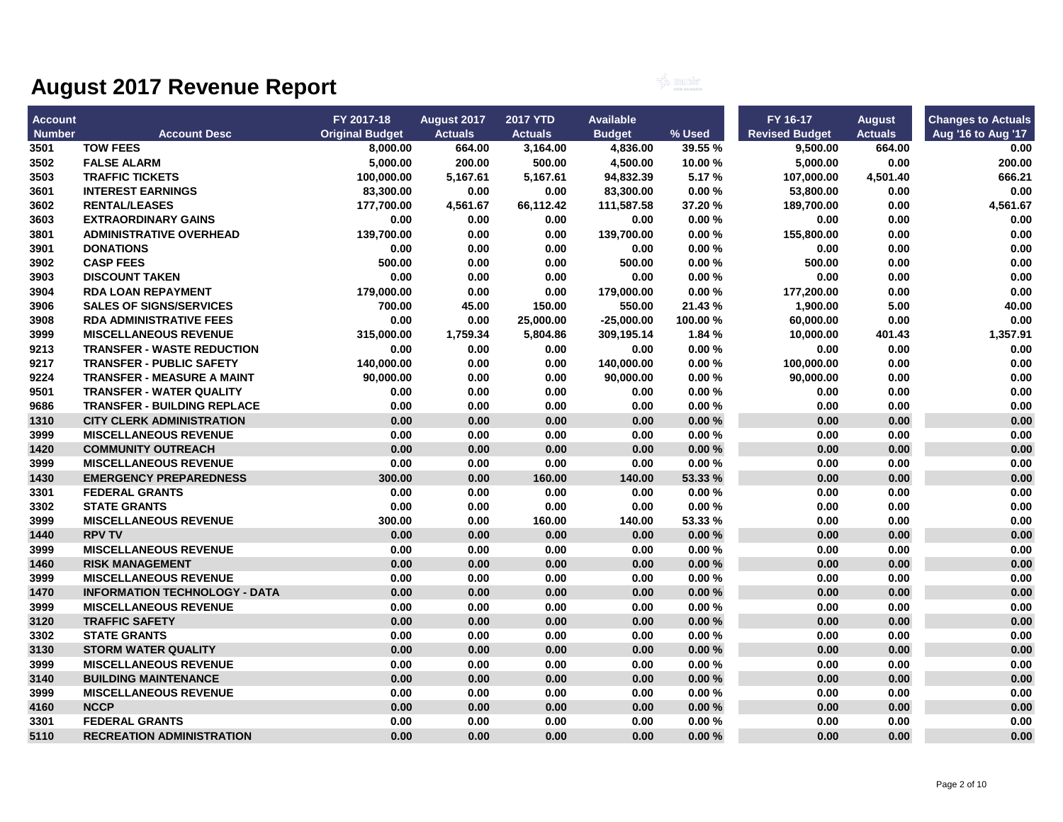

| <b>Account</b> |                                      | FY 2017-18             | August 2017    | <b>2017 YTD</b> | <b>Available</b> |          | FY 16-17              | <b>August</b>  | <b>Changes to Actuals</b> |
|----------------|--------------------------------------|------------------------|----------------|-----------------|------------------|----------|-----------------------|----------------|---------------------------|
| <b>Number</b>  | <b>Account Desc</b>                  | <b>Original Budget</b> | <b>Actuals</b> | <b>Actuals</b>  | <b>Budget</b>    | $%$ Used | <b>Revised Budget</b> | <b>Actuals</b> | Aug '16 to Aug '17        |
| 3501           | <b>TOW FEES</b>                      | 8,000.00               | 664.00         | 3,164.00        | 4,836.00         | 39.55 %  | 9,500.00              | 664.00         | 0.00                      |
| 3502           | <b>FALSE ALARM</b>                   | 5,000.00               | 200.00         | 500.00          | 4,500.00         | 10.00%   | 5,000.00              | 0.00           | 200.00                    |
| 3503           | <b>TRAFFIC TICKETS</b>               | 100,000.00             | 5,167.61       | 5,167.61        | 94,832.39        | 5.17%    | 107,000.00            | 4,501.40       | 666.21                    |
| 3601           | <b>INTEREST EARNINGS</b>             | 83,300.00              | 0.00           | 0.00            | 83,300.00        | 0.00%    | 53,800.00             | 0.00           | 0.00                      |
| 3602           | <b>RENTAL/LEASES</b>                 | 177,700.00             | 4,561.67       | 66,112.42       | 111,587.58       | 37.20%   | 189,700.00            | 0.00           | 4,561.67                  |
| 3603           | <b>EXTRAORDINARY GAINS</b>           | 0.00                   | 0.00           | 0.00            | 0.00             | 0.00%    | 0.00                  | 0.00           | 0.00                      |
| 3801           | <b>ADMINISTRATIVE OVERHEAD</b>       | 139,700.00             | 0.00           | 0.00            | 139,700.00       | 0.00%    | 155,800.00            | 0.00           | 0.00                      |
| 3901           | <b>DONATIONS</b>                     | 0.00                   | 0.00           | $0.00\,$        | 0.00             | 0.00%    | 0.00                  | 0.00           | 0.00                      |
| 3902           | <b>CASP FEES</b>                     | 500.00                 | 0.00           | 0.00            | 500.00           | 0.00%    | 500.00                | 0.00           | 0.00                      |
| 3903           | <b>DISCOUNT TAKEN</b>                | 0.00                   | 0.00           | 0.00            | 0.00             | 0.00%    | 0.00                  | 0.00           | 0.00                      |
| 3904           | <b>RDA LOAN REPAYMENT</b>            | 179,000.00             | 0.00           | 0.00            | 179,000.00       | 0.00%    | 177,200.00            | 0.00           | 0.00                      |
| 3906           | <b>SALES OF SIGNS/SERVICES</b>       | 700.00                 | 45.00          | 150.00          | 550.00           | 21.43%   | 1,900.00              | 5.00           | 40.00                     |
| 3908           | <b>RDA ADMINISTRATIVE FEES</b>       | 0.00                   | 0.00           | 25,000.00       | $-25,000.00$     | 100.00%  | 60,000.00             | 0.00           | 0.00                      |
| 3999           | <b>MISCELLANEOUS REVENUE</b>         | 315,000.00             | 1,759.34       | 5,804.86        | 309,195.14       | 1.84 %   | 10,000.00             | 401.43         | 1,357.91                  |
| 9213           | <b>TRANSFER - WASTE REDUCTION</b>    | 0.00                   | 0.00           | 0.00            | 0.00             | 0.00%    | 0.00                  | 0.00           | 0.00                      |
| 9217           | <b>TRANSFER - PUBLIC SAFETY</b>      | 140,000.00             | 0.00           | 0.00            | 140,000.00       | 0.00%    | 100,000.00            | 0.00           | 0.00                      |
| 9224           | <b>TRANSFER - MEASURE A MAINT</b>    | 90,000.00              | 0.00           | 0.00            | 90,000.00        | 0.00%    | 90,000.00             | 0.00           | 0.00                      |
| 9501           | <b>TRANSFER - WATER QUALITY</b>      | 0.00                   | 0.00           | 0.00            | 0.00             | 0.00%    | 0.00                  | 0.00           | 0.00                      |
| 9686           | <b>TRANSFER - BUILDING REPLACE</b>   | 0.00                   | 0.00           | 0.00            | 0.00             | 0.00%    | 0.00                  | 0.00           | 0.00                      |
| 1310           | <b>CITY CLERK ADMINISTRATION</b>     | 0.00                   | 0.00           | 0.00            | 0.00             | 0.00%    | 0.00                  | 0.00           | 0.00                      |
| 3999           | <b>MISCELLANEOUS REVENUE</b>         | 0.00                   | 0.00           | 0.00            | 0.00             | 0.00%    | 0.00                  | 0.00           | 0.00                      |
| 1420           | <b>COMMUNITY OUTREACH</b>            | 0.00                   | 0.00           | 0.00            | 0.00             | 0.00%    | 0.00                  | 0.00           | 0.00                      |
| 3999           | <b>MISCELLANEOUS REVENUE</b>         | 0.00                   | 0.00           | 0.00            | 0.00             | 0.00%    | 0.00                  | 0.00           | 0.00                      |
| 1430           | <b>EMERGENCY PREPAREDNESS</b>        | 300.00                 | 0.00           | 160.00          | 140.00           | 53.33 %  | 0.00                  | 0.00           | 0.00                      |
| 3301           | <b>FEDERAL GRANTS</b>                | 0.00                   | 0.00           | 0.00            | 0.00             | 0.00%    | 0.00                  | 0.00           | 0.00                      |
| 3302           | <b>STATE GRANTS</b>                  | 0.00                   | 0.00           | 0.00            | 0.00             | 0.00%    | 0.00                  | 0.00           | 0.00                      |
| 3999           | <b>MISCELLANEOUS REVENUE</b>         | 300.00                 | 0.00           | 160.00          | 140.00           | 53.33 %  | 0.00                  | 0.00           | 0.00                      |
| 1440           | <b>RPV TV</b>                        | 0.00                   | 0.00           | 0.00            | 0.00             | 0.00%    | 0.00                  | 0.00           | 0.00                      |
| 3999           | <b>MISCELLANEOUS REVENUE</b>         | 0.00                   | 0.00           | 0.00            | 0.00             | 0.00%    | 0.00                  | 0.00           | 0.00                      |
| 1460           | <b>RISK MANAGEMENT</b>               | 0.00                   | 0.00           | 0.00            | 0.00             | 0.00%    | 0.00                  | 0.00           | 0.00                      |
| 3999           | <b>MISCELLANEOUS REVENUE</b>         | 0.00                   | 0.00           | 0.00            | 0.00             | 0.00%    | 0.00                  | 0.00           | 0.00                      |
| 1470           | <b>INFORMATION TECHNOLOGY - DATA</b> | 0.00                   | 0.00           | 0.00            | 0.00             | 0.00%    | 0.00                  | 0.00           | 0.00                      |
| 3999           | <b>MISCELLANEOUS REVENUE</b>         | 0.00                   | 0.00           | 0.00            | 0.00             | 0.00%    | 0.00                  | 0.00           | 0.00                      |
| 3120           | <b>TRAFFIC SAFETY</b>                | 0.00                   | 0.00           | 0.00            | 0.00             | 0.00%    | 0.00                  | 0.00           | 0.00                      |
| 3302           | <b>STATE GRANTS</b>                  | 0.00                   | 0.00           | 0.00            | 0.00             | 0.00%    | 0.00                  | 0.00           | 0.00                      |
| 3130           | <b>STORM WATER QUALITY</b>           | 0.00                   | 0.00           | 0.00            | 0.00             | 0.00%    | 0.00                  | 0.00           | 0.00                      |
| 3999           | <b>MISCELLANEOUS REVENUE</b>         | 0.00                   | 0.00           | 0.00            | 0.00             | 0.00%    | 0.00                  | 0.00           | 0.00                      |
| 3140           | <b>BUILDING MAINTENANCE</b>          | 0.00                   | 0.00           | 0.00            | 0.00             | 0.00%    | 0.00                  | 0.00           | 0.00                      |
| 3999           | <b>MISCELLANEOUS REVENUE</b>         | 0.00                   | 0.00           | 0.00            | 0.00             | 0.00%    | 0.00                  | 0.00           | 0.00                      |
| 4160           | <b>NCCP</b>                          | 0.00                   | 0.00           | 0.00            | 0.00             | 0.00%    | 0.00                  | 0.00           | 0.00                      |
| 3301           | <b>FEDERAL GRANTS</b>                | 0.00                   | 0.00           | 0.00            | 0.00             | 0.00%    | 0.00                  | 0.00           | 0.00                      |
| 5110           | <b>RECREATION ADMINISTRATION</b>     | 0.00                   | 0.00           | 0.00            | 0.00             | 0.00%    | 0.00                  | 0.00           | 0.00                      |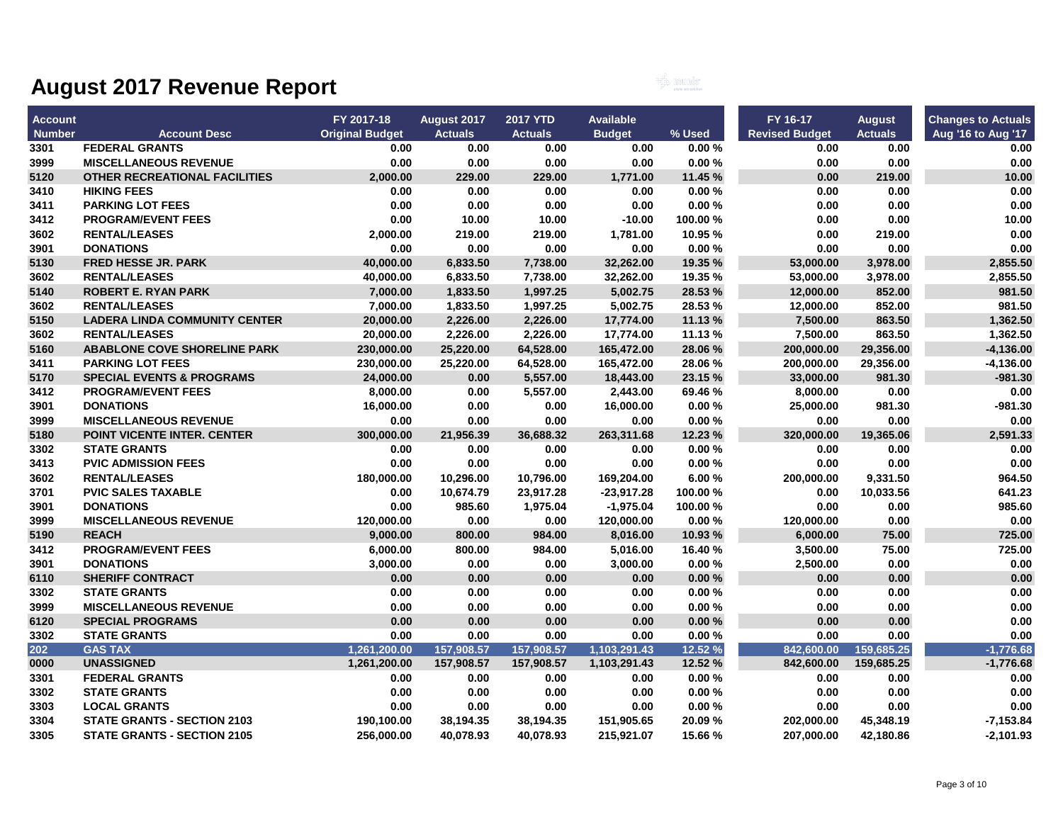

| <b>Account</b> |                                      | FY 2017-18             | August 2017    | <b>2017 YTD</b> | <b>Available</b> |          | FY 16-17              | <b>August</b>  | <b>Changes to Actuals</b> |
|----------------|--------------------------------------|------------------------|----------------|-----------------|------------------|----------|-----------------------|----------------|---------------------------|
| <b>Number</b>  | <b>Account Desc</b>                  | <b>Original Budget</b> | <b>Actuals</b> | <b>Actuals</b>  | <b>Budget</b>    | % Used   | <b>Revised Budget</b> | <b>Actuals</b> | Aug '16 to Aug '17        |
| 3301           | <b>FEDERAL GRANTS</b>                | 0.00                   | 0.00           | 0.00            | 0.00             | 0.00%    | 0.00                  | 0.00           | 0.00                      |
| 3999           | <b>MISCELLANEOUS REVENUE</b>         | 0.00                   | 0.00           | 0.00            | 0.00             | 0.00%    | 0.00                  | 0.00           | 0.00                      |
| 5120           | <b>OTHER RECREATIONAL FACILITIES</b> | 2,000.00               | 229.00         | 229.00          | 1,771.00         | 11.45 %  | 0.00                  | 219.00         | 10.00                     |
| 3410           | <b>HIKING FEES</b>                   | 0.00                   | 0.00           | 0.00            | 0.00             | 0.00%    | 0.00                  | 0.00           | 0.00                      |
| 3411           | <b>PARKING LOT FEES</b>              | 0.00                   | 0.00           | 0.00            | 0.00             | 0.00%    | 0.00                  | 0.00           | 0.00                      |
| 3412           | <b>PROGRAM/EVENT FEES</b>            | 0.00                   | 10.00          | 10.00           | $-10.00$         | 100.00 % | 0.00                  | 0.00           | 10.00                     |
| 3602           | <b>RENTAL/LEASES</b>                 | 2,000.00               | 219.00         | 219.00          | 1,781.00         | 10.95%   | 0.00                  | 219.00         | 0.00                      |
| 3901           | <b>DONATIONS</b>                     | 0.00                   | 0.00           | 0.00            | 0.00             | 0.00%    | 0.00                  | 0.00           | 0.00                      |
| 5130           | <b>FRED HESSE JR. PARK</b>           | 40,000.00              | 6,833.50       | 7,738.00        | 32,262.00        | 19.35 %  | 53,000.00             | 3,978.00       | 2,855.50                  |
| 3602           | <b>RENTAL/LEASES</b>                 | 40,000.00              | 6,833.50       | 7,738.00        | 32,262.00        | 19.35 %  | 53,000.00             | 3,978.00       | 2,855.50                  |
| 5140           | <b>ROBERT E. RYAN PARK</b>           | 7,000.00               | 1,833.50       | 1,997.25        | 5,002.75         | 28.53%   | 12,000.00             | 852.00         | 981.50                    |
| 3602           | <b>RENTAL/LEASES</b>                 | 7,000.00               | 1,833.50       | 1,997.25        | 5,002.75         | 28.53%   | 12,000.00             | 852.00         | 981.50                    |
| 5150           | <b>LADERA LINDA COMMUNITY CENTER</b> | 20,000.00              | 2,226.00       | 2,226.00        | 17,774.00        | 11.13 %  | 7,500.00              | 863.50         | 1,362.50                  |
| 3602           | <b>RENTAL/LEASES</b>                 | 20,000.00              | 2,226.00       | 2,226.00        | 17,774.00        | 11.13 %  | 7,500.00              | 863.50         | 1,362.50                  |
| 5160           | <b>ABABLONE COVE SHORELINE PARK</b>  | 230,000.00             | 25,220.00      | 64,528.00       | 165,472.00       | 28.06 %  | 200,000.00            | 29,356.00      | $-4,136.00$               |
| 3411           | <b>PARKING LOT FEES</b>              | 230,000.00             | 25,220.00      | 64,528.00       | 165,472.00       | 28.06%   | 200,000.00            | 29,356.00      | $-4,136.00$               |
| 5170           | <b>SPECIAL EVENTS &amp; PROGRAMS</b> | 24,000.00              | 0.00           | 5,557.00        | 18,443.00        | 23.15 %  | 33,000.00             | 981.30         | $-981.30$                 |
| 3412           | <b>PROGRAM/EVENT FEES</b>            | 8,000.00               | 0.00           | 5,557.00        | 2,443.00         | 69.46%   | 8,000.00              | 0.00           | 0.00                      |
| 3901           | <b>DONATIONS</b>                     | 16,000.00              | 0.00           | 0.00            | 16,000.00        | 0.00%    | 25,000.00             | 981.30         | -981.30                   |
| 3999           | <b>MISCELLANEOUS REVENUE</b>         | 0.00                   | 0.00           | 0.00            | 0.00             | 0.00%    | 0.00                  | 0.00           | 0.00                      |
| 5180           | POINT VICENTE INTER. CENTER          | 300,000.00             | 21,956.39      | 36,688.32       | 263,311.68       | 12.23 %  | 320,000.00            | 19,365.06      | 2,591.33                  |
| 3302           | <b>STATE GRANTS</b>                  | 0.00                   | 0.00           | 0.00            | 0.00             | 0.00%    | 0.00                  | 0.00           | 0.00                      |
| 3413           | <b>PVIC ADMISSION FEES</b>           | 0.00                   | 0.00           | 0.00            | 0.00             | 0.00%    | 0.00                  | 0.00           | 0.00                      |
| 3602           | <b>RENTAL/LEASES</b>                 | 180,000.00             | 10,296.00      | 10,796.00       | 169,204.00       | 6.00%    | 200,000.00            | 9,331.50       | 964.50                    |
| 3701           | <b>PVIC SALES TAXABLE</b>            | 0.00                   | 10,674.79      | 23,917.28       | $-23,917.28$     | 100.00 % | 0.00                  | 10,033.56      | 641.23                    |
| 3901           | <b>DONATIONS</b>                     | 0.00                   | 985.60         | 1,975.04        | $-1,975.04$      | 100.00 % | 0.00                  | 0.00           | 985.60                    |
| 3999           | <b>MISCELLANEOUS REVENUE</b>         | 120,000.00             | 0.00           | 0.00            | 120,000.00       | 0.00%    | 120,000.00            | 0.00           | 0.00                      |
| 5190           | <b>REACH</b>                         | 9,000.00               | 800.00         | 984.00          | 8,016.00         | 10.93 %  | 6,000.00              | 75.00          | 725.00                    |
| 3412           | <b>PROGRAM/EVENT FEES</b>            | 6,000.00               | 800.00         | 984.00          | 5,016.00         | 16.40%   | 3,500.00              | 75.00          | 725.00                    |
| 3901           | <b>DONATIONS</b>                     | 3,000.00               | 0.00           | 0.00            | 3,000.00         | 0.00%    | 2,500.00              | 0.00           | 0.00                      |
| 6110           | <b>SHERIFF CONTRACT</b>              | 0.00                   | 0.00           | 0.00            | 0.00             | 0.00%    | 0.00                  | 0.00           | 0.00                      |
| 3302           | <b>STATE GRANTS</b>                  | 0.00                   | 0.00           | 0.00            | 0.00             | 0.00%    | 0.00                  | $0.00\,$       | 0.00                      |
| 3999           | <b>MISCELLANEOUS REVENUE</b>         | 0.00                   | 0.00           | 0.00            | 0.00             | 0.00%    | 0.00                  | 0.00           | 0.00                      |
| 6120           | <b>SPECIAL PROGRAMS</b>              | 0.00                   | 0.00           | 0.00            | 0.00             | 0.00%    | 0.00                  | 0.00           | 0.00                      |
| 3302           | <b>STATE GRANTS</b>                  | 0.00                   | 0.00           | 0.00            | 0.00             | 0.00%    | 0.00                  | 0.00           | 0.00                      |
| 202            | <b>GAS TAX</b>                       | 1,261,200.00           | 157,908.57     | 157,908.57      | 1,103,291.43     | 12.52 %  | 842,600.00            | 159,685.25     | $-1,776.68$               |
| 0000           | <b>UNASSIGNED</b>                    | 1,261,200.00           | 157,908.57     | 157,908.57      | 1,103,291.43     | 12.52%   | 842,600.00            | 159,685.25     | $-1,776.68$               |
| 3301           | <b>FEDERAL GRANTS</b>                | 0.00                   | 0.00           | 0.00            | 0.00             | 0.00%    | 0.00                  | 0.00           | 0.00                      |
| 3302           | <b>STATE GRANTS</b>                  | 0.00                   | 0.00           | 0.00            | 0.00             | 0.00%    | 0.00                  | 0.00           | 0.00                      |
| 3303           | <b>LOCAL GRANTS</b>                  | 0.00                   | 0.00           | 0.00            | 0.00             | 0.00%    | 0.00                  | 0.00           | 0.00                      |
| 3304           | <b>STATE GRANTS - SECTION 2103</b>   | 190,100.00             | 38,194.35      | 38,194.35       | 151,905.65       | 20.09 %  | 202,000.00            | 45,348.19      | $-7,153.84$               |
| 3305           | <b>STATE GRANTS - SECTION 2105</b>   | 256,000.00             | 40,078.93      | 40,078.93       | 215,921.07       | 15.66 %  | 207,000.00            | 42,180.86      | $-2,101.93$               |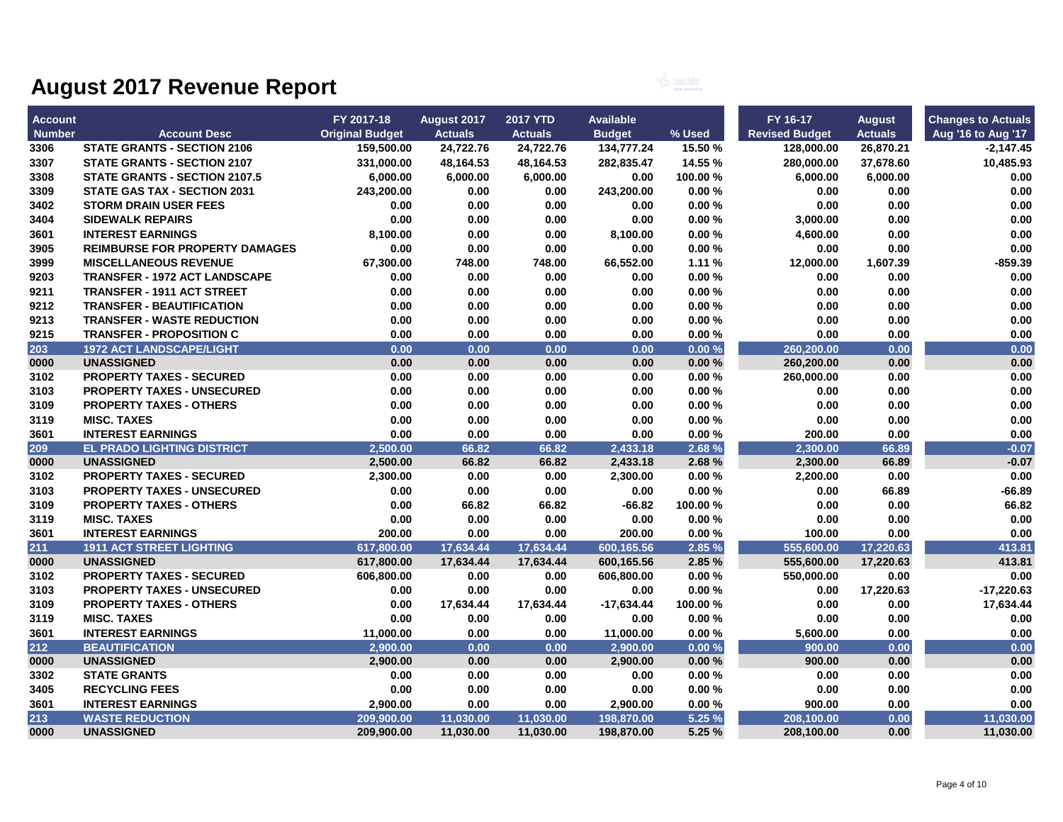

| <b>Account</b> |                                       | FY 2017-18             | August 2017    | <b>2017 YTD</b> | Available     |          | FY 16-17              | <b>August</b>  | <b>Changes to Actuals</b> |
|----------------|---------------------------------------|------------------------|----------------|-----------------|---------------|----------|-----------------------|----------------|---------------------------|
| <b>Number</b>  | <b>Account Desc</b>                   | <b>Original Budget</b> | <b>Actuals</b> | <b>Actuals</b>  | <b>Budget</b> | % Used   | <b>Revised Budget</b> | <b>Actuals</b> | Aug '16 to Aug '17        |
| 3306           | <b>STATE GRANTS - SECTION 2106</b>    | 159,500.00             | 24,722.76      | 24,722.76       | 134,777.24    | 15.50 %  | 128,000.00            | 26,870.21      | -2,147.45                 |
| 3307           | <b>STATE GRANTS - SECTION 2107</b>    | 331,000.00             | 48,164.53      | 48,164.53       | 282,835.47    | 14.55 %  | 280,000.00            | 37,678.60      | 10,485.93                 |
| 3308           | <b>STATE GRANTS - SECTION 2107.5</b>  | 6,000.00               | 6,000.00       | 6,000.00        | 0.00          | 100.00 % | 6.000.00              | 6,000.00       | 0.00                      |
| 3309           | <b>STATE GAS TAX - SECTION 2031</b>   | 243,200.00             | 0.00           | 0.00            | 243,200.00    | 0.00%    | 0.00                  | 0.00           | 0.00                      |
| 3402           | <b>STORM DRAIN USER FEES</b>          | 0.00                   | 0.00           | 0.00            | 0.00          | 0.00%    | 0.00                  | 0.00           | 0.00                      |
| 3404           | <b>SIDEWALK REPAIRS</b>               | 0.00                   | 0.00           | 0.00            | 0.00          | 0.00%    | 3,000.00              | 0.00           | 0.00                      |
| 3601           | <b>INTEREST EARNINGS</b>              | 8,100.00               | 0.00           | 0.00            | 8,100.00      | 0.00%    | 4,600.00              | 0.00           | 0.00                      |
| 3905           | <b>REIMBURSE FOR PROPERTY DAMAGES</b> | 0.00                   | 0.00           | 0.00            | 0.00          | 0.00%    | 0.00                  | 0.00           | 0.00                      |
| 3999           | <b>MISCELLANEOUS REVENUE</b>          | 67,300.00              | 748.00         | 748.00          | 66,552.00     | 1.11%    | 12,000.00             | 1,607.39       | $-859.39$                 |
| 9203           | <b>TRANSFER - 1972 ACT LANDSCAPE</b>  | 0.00                   | 0.00           | 0.00            | 0.00          | 0.00%    | 0.00                  | 0.00           | 0.00                      |
| 9211           | <b>TRANSFER - 1911 ACT STREET</b>     | 0.00                   | 0.00           | 0.00            | 0.00          | 0.00%    | 0.00                  | 0.00           | 0.00                      |
| 9212           | <b>TRANSFER - BEAUTIFICATION</b>      | 0.00                   | 0.00           | 0.00            | 0.00          | 0.00%    | 0.00                  | 0.00           | 0.00                      |
| 9213           | <b>TRANSFER - WASTE REDUCTION</b>     | 0.00                   | 0.00           | 0.00            | 0.00          | 0.00%    | 0.00                  | 0.00           | 0.00                      |
| 9215           | <b>TRANSFER - PROPOSITION C</b>       | 0.00                   | 0.00           | 0.00            | 0.00          | 0.00%    | 0.00                  | 0.00           | 0.00                      |
| 203            | <b>1972 ACT LANDSCAPE/LIGHT</b>       | 0.00                   | 0.00           | 0.00            | 0.00          | 0.00%    | 260,200.00            | 0.00           | 0.00                      |
| 0000           | <b>UNASSIGNED</b>                     | 0.00                   | 0.00           | 0.00            | 0.00          | 0.00%    | 260,200.00            | 0.00           | 0.00                      |
| 3102           | <b>PROPERTY TAXES - SECURED</b>       | 0.00                   | 0.00           | 0.00            | 0.00          | 0.00%    | 260,000.00            | 0.00           | 0.00                      |
| 3103           | <b>PROPERTY TAXES - UNSECURED</b>     | 0.00                   | 0.00           | 0.00            | 0.00          | 0.00%    | 0.00                  | 0.00           | 0.00                      |
| 3109           | <b>PROPERTY TAXES - OTHERS</b>        | 0.00                   | 0.00           | 0.00            | 0.00          | 0.00%    | 0.00                  | 0.00           | 0.00                      |
| 3119           | <b>MISC. TAXES</b>                    | 0.00                   | 0.00           | 0.00            | 0.00          | 0.00%    | 0.00                  | 0.00           | 0.00                      |
| 3601           | <b>INTEREST EARNINGS</b>              | 0.00                   | 0.00           | 0.00            | 0.00          | 0.00%    | 200.00                | 0.00           | 0.00                      |
| 209            | <b>EL PRADO LIGHTING DISTRICT</b>     | 2.500.00               | 66.82          | 66.82           | 2.433.18      | 2.68%    | 2.300.00              | 66.89          | $-0.07$                   |
| 0000           | <b>UNASSIGNED</b>                     | 2,500.00               | 66.82          | 66.82           | 2,433.18      | 2.68%    | 2,300.00              | 66.89          | $-0.07$                   |
| 3102           | <b>PROPERTY TAXES - SECURED</b>       | 2,300.00               | 0.00           | 0.00            | 2,300.00      | 0.00%    | 2,200.00              | 0.00           | 0.00                      |
| 3103           | <b>PROPERTY TAXES - UNSECURED</b>     | 0.00                   | 0.00           | 0.00            | 0.00          | 0.00%    | 0.00                  | 66.89          | -66.89                    |
| 3109           | <b>PROPERTY TAXES - OTHERS</b>        | 0.00                   | 66.82          | 66.82           | $-66.82$      | 100.00%  | 0.00                  | 0.00           | 66.82                     |
| 3119           | <b>MISC. TAXES</b>                    | 0.00                   | 0.00           | 0.00            | 0.00          | 0.00%    | 0.00                  | 0.00           | 0.00                      |
| 3601           | <b>INTEREST EARNINGS</b>              | 200.00                 | 0.00           | 0.00            | 200.00        | 0.00%    | 100.00                | 0.00           | 0.00                      |
| 211            | <b>1911 ACT STREET LIGHTING</b>       | 617,800.00             | 17,634.44      | 17,634.44       | 600,165.56    | 2.85 %   | 555,600.00            | 17,220.63      | 413.81                    |
| 0000           | <b>UNASSIGNED</b>                     | 617,800.00             | 17,634.44      | 17,634.44       | 600,165.56    | 2.85 %   | 555,600.00            | 17,220.63      | 413.81                    |
| 3102           | <b>PROPERTY TAXES - SECURED</b>       | 606,800.00             | 0.00           | 0.00            | 606,800.00    | 0.00%    | 550,000.00            | 0.00           | 0.00                      |
| 3103           | <b>PROPERTY TAXES - UNSECURED</b>     | 0.00                   | 0.00           | 0.00            | 0.00          | 0.00%    | 0.00                  | 17,220.63      | $-17,220.63$              |
| 3109           | <b>PROPERTY TAXES - OTHERS</b>        | 0.00                   | 17,634.44      | 17,634.44       | $-17,634.44$  | 100.00%  | 0.00                  | 0.00           | 17,634.44                 |
| 3119           | <b>MISC. TAXES</b>                    | 0.00                   | 0.00           | 0.00            | 0.00          | 0.00%    | 0.00                  | 0.00           | 0.00                      |
| 3601           | <b>INTEREST EARNINGS</b>              | 11,000.00              | 0.00           | 0.00            | 11,000.00     | 0.00%    | 5,600.00              | 0.00           | 0.00                      |
| 212            | <b>BEAUTIFICATION</b>                 | 2,900.00               | 0.00           | 0.00            | 2,900.00      | 0.00%    | 900.00                | 0.00           | 0.00                      |
| 0000           | <b>UNASSIGNED</b>                     | 2,900.00               | 0.00           | 0.00            | 2,900.00      | 0.00%    | 900.00                | 0.00           | 0.00                      |
| 3302           | <b>STATE GRANTS</b>                   | 0.00                   | 0.00           | 0.00            | 0.00          | 0.00%    | 0.00                  | 0.00           | 0.00                      |
| 3405           | <b>RECYCLING FEES</b>                 | 0.00                   | 0.00           | 0.00            | 0.00          | 0.00%    | 0.00                  | 0.00           | 0.00                      |
| 3601           | <b>INTEREST EARNINGS</b>              | 2,900.00               | 0.00           | 0.00            | 2,900.00      | 0.00%    | 900.00                | 0.00           | 0.00                      |
| 213            | <b>WASTE REDUCTION</b>                | 209,900.00             | 11,030.00      | 11,030.00       | 198,870.00    | 5.25 %   | 208,100.00            | 0.00           | 11,030.00                 |
| 0000           | <b>UNASSIGNED</b>                     | 209,900.00             | 11,030.00      | 11,030.00       | 198,870.00    | 5.25%    | 208,100.00            | 0.00           | 11,030.00                 |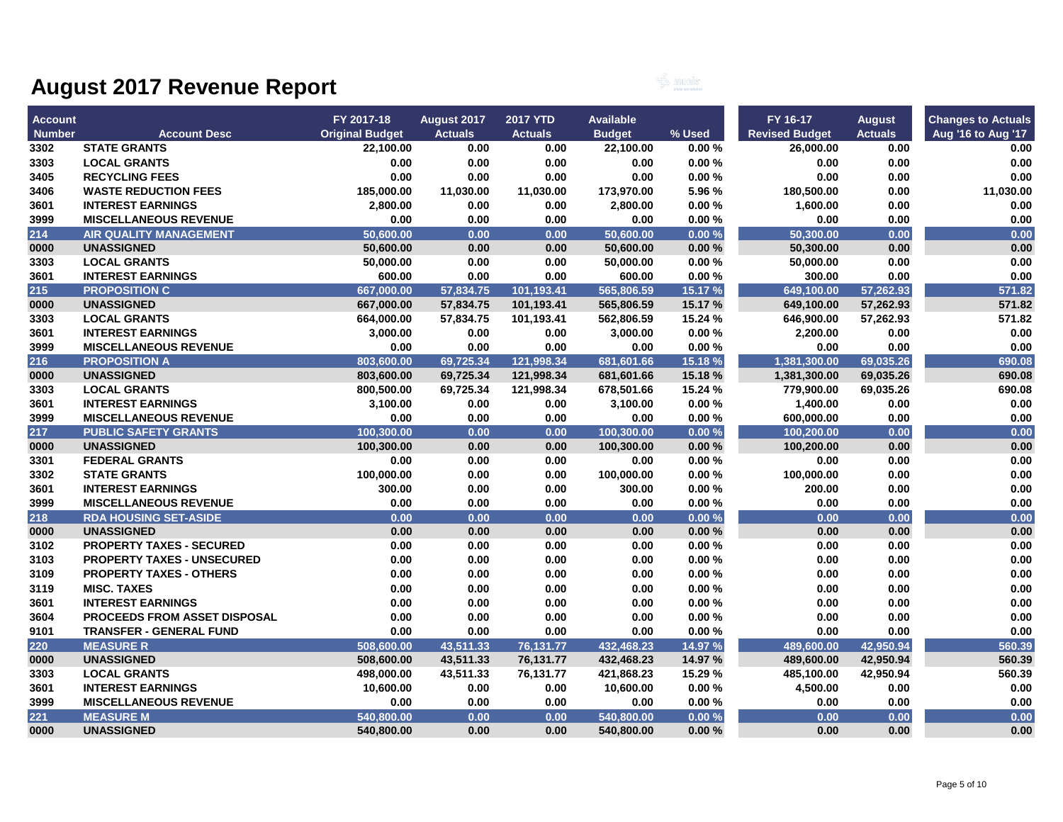

| <b>Account</b> |                                     | FY 2017-18             | August 2017    | <b>2017 YTD</b> | <b>Available</b> |         | FY 16-17              | <b>August</b>  | <b>Changes to Actuals</b> |
|----------------|-------------------------------------|------------------------|----------------|-----------------|------------------|---------|-----------------------|----------------|---------------------------|
| <b>Number</b>  | <b>Account Desc</b>                 | <b>Original Budget</b> | <b>Actuals</b> | <b>Actuals</b>  | <b>Budget</b>    | % Used  | <b>Revised Budget</b> | <b>Actuals</b> | Aug '16 to Aug '17        |
| 3302           | <b>STATE GRANTS</b>                 | 22,100.00              | 0.00           | 0.00            | 22,100.00        | 0.00%   | 26,000.00             | 0.00           | 0.00                      |
| 3303           | <b>LOCAL GRANTS</b>                 | 0.00                   | 0.00           | 0.00            | 0.00             | 0.00%   | 0.00                  | 0.00           | 0.00                      |
| 3405           | <b>RECYCLING FEES</b>               | 0.00                   | 0.00           | 0.00            | 0.00             | 0.00%   | 0.00                  | 0.00           | 0.00                      |
| 3406           | <b>WASTE REDUCTION FEES</b>         | 185,000.00             | 11,030.00      | 11,030.00       | 173,970.00       | 5.96 %  | 180,500.00            | 0.00           | 11,030.00                 |
| 3601           | <b>INTEREST EARNINGS</b>            | 2,800.00               | 0.00           | 0.00            | 2,800.00         | 0.00%   | 1,600.00              | 0.00           | 0.00                      |
| 3999           | <b>MISCELLANEOUS REVENUE</b>        | 0.00                   | 0.00           | 0.00            | 0.00             | 0.00%   | 0.00                  | 0.00           | 0.00                      |
| 214            | <b>AIR QUALITY MANAGEMENT</b>       | 50,600.00              | 0.00           | 0.00            | 50,600.00        | 0.00%   | 50,300.00             | 0.00           | 0.00                      |
| 0000           | <b>UNASSIGNED</b>                   | 50,600.00              | 0.00           | 0.00            | 50,600.00        | 0.00%   | 50,300.00             | 0.00           | 0.00                      |
| 3303           | <b>LOCAL GRANTS</b>                 | 50,000.00              | 0.00           | 0.00            | 50,000.00        | 0.00%   | 50,000.00             | 0.00           | 0.00                      |
| 3601           | <b>INTEREST EARNINGS</b>            | 600.00                 | 0.00           | 0.00            | 600.00           | 0.00%   | 300.00                | 0.00           | 0.00                      |
| 215            | <b>PROPOSITION C</b>                | 667.000.00             | 57,834.75      | 101,193.41      | 565,806.59       | 15.17%  | 649,100.00            | 57,262.93      | 571.82                    |
| 0000           | <b>UNASSIGNED</b>                   | 667,000.00             | 57,834.75      | 101,193.41      | 565,806.59       | 15.17 % | 649,100.00            | 57,262.93      | 571.82                    |
| 3303           | <b>LOCAL GRANTS</b>                 | 664,000.00             | 57,834.75      | 101,193.41      | 562,806.59       | 15.24 % | 646,900.00            | 57,262.93      | 571.82                    |
| 3601           | <b>INTEREST EARNINGS</b>            | 3,000.00               | 0.00           | 0.00            | 3,000.00         | 0.00%   | 2,200.00              | 0.00           | 0.00                      |
| 3999           | <b>MISCELLANEOUS REVENUE</b>        | 0.00                   | 0.00           | 0.00            | 0.00             | 0.00%   | 0.00                  | 0.00           | 0.00                      |
| 216            | <b>PROPOSITION A</b>                | 803,600.00             | 69,725.34      | 121,998.34      | 681,601.66       | 15.18%  | 1,381,300.00          | 69,035.26      | 690.08                    |
| 0000           | <b>UNASSIGNED</b>                   | 803,600.00             | 69,725.34      | 121,998.34      | 681,601.66       | 15.18 % | 1,381,300.00          | 69,035.26      | 690.08                    |
| 3303           | <b>LOCAL GRANTS</b>                 | 800,500.00             | 69,725.34      | 121,998.34      | 678,501.66       | 15.24 % | 779,900.00            | 69,035.26      | 690.08                    |
| 3601           | <b>INTEREST EARNINGS</b>            | 3,100.00               | 0.00           | 0.00            | 3,100.00         | 0.00%   | 1,400.00              | 0.00           | 0.00                      |
| 3999           | <b>MISCELLANEOUS REVENUE</b>        | 0.00                   | 0.00           | 0.00            | 0.00             | 0.00%   | 600,000.00            | 0.00           | 0.00                      |
| 217            | <b>PUBLIC SAFETY GRANTS</b>         | 100,300.00             | 0.00           | 0.00            | 100.300.00       | 0.00%   | 100,200.00            | 0.00           | 0.00                      |
| 0000           | <b>UNASSIGNED</b>                   | 100,300.00             | 0.00           | 0.00            | 100,300.00       | 0.00%   | 100,200.00            | 0.00           | 0.00                      |
| 3301           | <b>FEDERAL GRANTS</b>               | 0.00                   | 0.00           | 0.00            | 0.00             | 0.00%   | 0.00                  | 0.00           | 0.00                      |
| 3302           | <b>STATE GRANTS</b>                 | 100,000.00             | 0.00           | 0.00            | 100,000.00       | 0.00%   | 100,000.00            | 0.00           | 0.00                      |
| 3601           | <b>INTEREST EARNINGS</b>            | 300.00                 | 0.00           | 0.00            | 300.00           | 0.00%   | 200.00                | 0.00           | 0.00                      |
| 3999           | <b>MISCELLANEOUS REVENUE</b>        | 0.00                   | 0.00           | 0.00            | 0.00             | 0.00%   | $0.00\,$              | 0.00           | 0.00                      |
| 218            | <b>RDA HOUSING SET-ASIDE</b>        | 0.00                   | 0.00           | 0.00            | 0.00             | 0.00%   | 0.00                  | 0.00           | 0.00                      |
| 0000           | <b>UNASSIGNED</b>                   | 0.00                   | 0.00           | 0.00            | 0.00             | 0.00%   | 0.00                  | 0.00           | 0.00                      |
| 3102           | <b>PROPERTY TAXES - SECURED</b>     | 0.00                   | 0.00           | 0.00            | 0.00             | 0.00%   | 0.00                  | 0.00           | 0.00                      |
| 3103           | <b>PROPERTY TAXES - UNSECURED</b>   | 0.00                   | 0.00           | 0.00            | 0.00             | 0.00%   | 0.00                  | 0.00           | 0.00                      |
| 3109           | <b>PROPERTY TAXES - OTHERS</b>      | 0.00                   | 0.00           | 0.00            | 0.00             | 0.00%   | 0.00                  | 0.00           | 0.00                      |
| 3119           | <b>MISC. TAXES</b>                  | 0.00                   | 0.00           | 0.00            | 0.00             | 0.00%   | 0.00                  | 0.00           | 0.00                      |
| 3601           | <b>INTEREST EARNINGS</b>            | 0.00                   | 0.00           | 0.00            | 0.00             | 0.00%   | 0.00                  | 0.00           | 0.00                      |
| 3604           | <b>PROCEEDS FROM ASSET DISPOSAL</b> | 0.00                   | 0.00           | 0.00            | 0.00             | 0.00%   | 0.00                  | 0.00           | 0.00                      |
| 9101           | <b>TRANSFER - GENERAL FUND</b>      | 0.00                   | 0.00           | 0.00            | 0.00             | 0.00%   | 0.00                  | 0.00           | 0.00                      |
| 220            | <b>MEASURE R</b>                    | 508,600.00             | 43,511.33      | 76,131.77       | 432,468.23       | 14.97 % | 489,600.00            | 42,950.94      | 560.39                    |
| 0000           | <b>UNASSIGNED</b>                   | 508,600.00             | 43,511.33      | 76,131.77       | 432,468.23       | 14.97 % | 489,600.00            | 42,950.94      | 560.39                    |
| 3303           | <b>LOCAL GRANTS</b>                 | 498,000.00             | 43,511.33      | 76,131.77       | 421,868.23       | 15.29 % | 485,100.00            | 42,950.94      | 560.39                    |
| 3601           | <b>INTEREST EARNINGS</b>            | 10,600.00              | 0.00           | 0.00            | 10,600.00        | 0.00%   | 4,500.00              | 0.00           | 0.00                      |
| 3999           | <b>MISCELLANEOUS REVENUE</b>        | 0.00                   | 0.00           | 0.00            | 0.00             | 0.00%   | 0.00                  | 0.00           | 0.00                      |
| 221            | <b>MEASURE M</b>                    | 540,800.00             | 0.00           | 0.00            | 540,800.00       | 0.00%   | 0.00                  | 0.00           | 0.00                      |
| 0000           | <b>UNASSIGNED</b>                   | 540,800.00             | 0.00           | 0.00            | 540,800.00       | 0.00%   | 0.00                  | 0.00           | 0.00                      |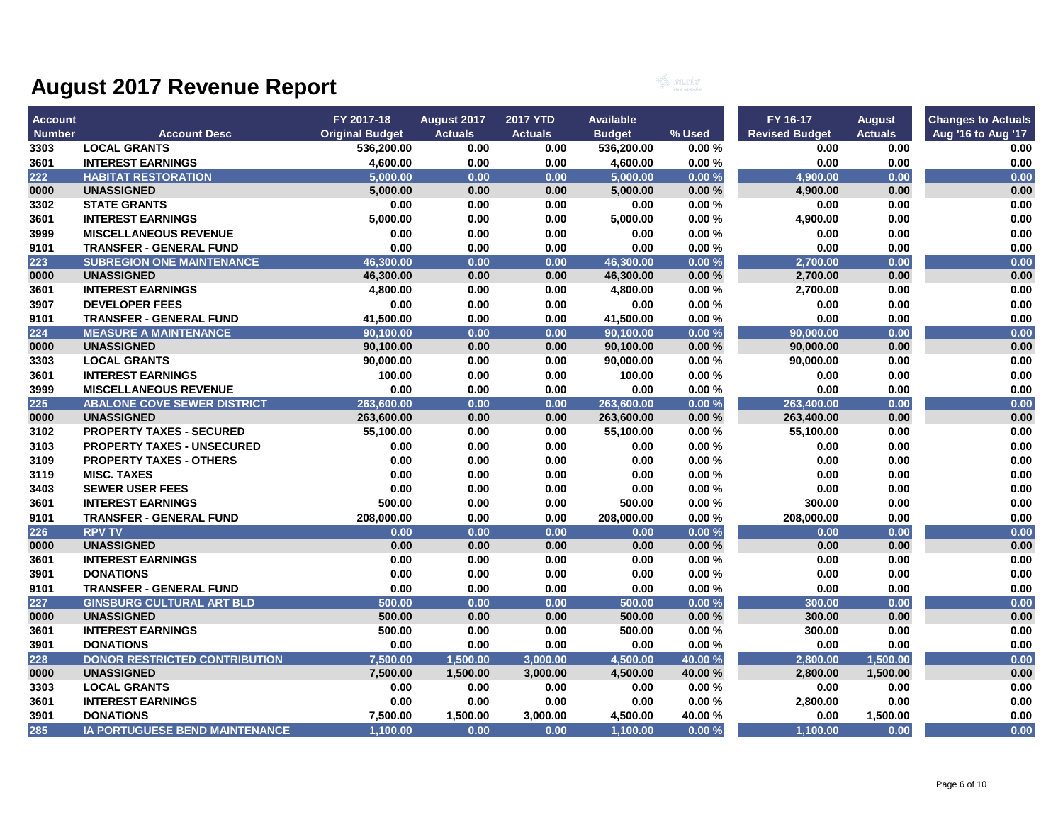

| <b>Account</b> |                                       | FY 2017-18             | August 2017    | <b>2017 YTD</b> | <b>Available</b>      |         | FY 16-17              | <b>August</b>  | <b>Changes to Actuals</b> |
|----------------|---------------------------------------|------------------------|----------------|-----------------|-----------------------|---------|-----------------------|----------------|---------------------------|
| <b>Number</b>  | <b>Account Desc</b>                   | <b>Original Budget</b> | <b>Actuals</b> | <b>Actuals</b>  | <b>Budget</b>         | % Used  | <b>Revised Budget</b> | <b>Actuals</b> | Aug '16 to Aug '17        |
| 3303           | <b>LOCAL GRANTS</b>                   | 536,200.00             | 0.00           | 0.00            | 536,200.00            | 0.00%   | 0.00                  | 0.00           | 0.00                      |
| 3601           | <b>INTEREST EARNINGS</b>              | 4,600.00               | 0.00           | 0.00            | 4,600.00              | 0.00%   | 0.00                  | 0.00           | 0.00                      |
| 222            | <b>HABITAT RESTORATION</b>            | 5.000.00               | 0.00           | 0.00            | 5.000.00              | 0.00%   | 4.900.00              | 0.00           | 0.00                      |
| 0000           | <b>UNASSIGNED</b>                     | 5,000.00               | 0.00           | 0.00            | 5,000.00              | 0.00%   | 4,900.00              | 0.00           | 0.00                      |
| 3302           | <b>STATE GRANTS</b>                   | 0.00                   | 0.00           | 0.00            | 0.00                  | 0.00%   | 0.00                  | 0.00           | 0.00                      |
| 3601           | <b>INTEREST EARNINGS</b>              | 5,000.00               | 0.00           | 0.00            | 5,000.00              | 0.00%   | 4,900.00              | 0.00           | 0.00                      |
| 3999           | <b>MISCELLANEOUS REVENUE</b>          | 0.00                   | 0.00           | 0.00            | 0.00                  | 0.00%   | 0.00                  | 0.00           | 0.00                      |
| 9101           | <b>TRANSFER - GENERAL FUND</b>        | 0.00                   | 0.00           | 0.00            | 0.00                  | 0.00%   | 0.00                  | 0.00           | 0.00                      |
| 223            | <b>SUBREGION ONE MAINTENANCE</b>      | 46.300.00              | 0.00           | 0.00            | 46.300.00             | 0.00%   | 2.700.00              | 0.00           | 0.00                      |
| 0000           | <b>UNASSIGNED</b>                     | 46,300.00              | 0.00           | 0.00            | 46,300.00             | 0.00%   | 2,700.00              | 0.00           | 0.00                      |
| 3601           | <b>INTEREST EARNINGS</b>              | 4,800.00               | 0.00           | 0.00            | 4,800.00              | 0.00%   | 2,700.00              | 0.00           | 0.00                      |
| 3907           | <b>DEVELOPER FEES</b>                 | 0.00                   | 0.00           | 0.00            | 0.00                  | 0.00%   | 0.00                  | 0.00           | 0.00                      |
| 9101           | <b>TRANSFER - GENERAL FUND</b>        | 41,500.00              | 0.00           | 0.00            | 41,500.00             | 0.00%   | 0.00                  | 0.00           | 0.00                      |
| 224            | <b>MEASURE A MAINTENANCE</b>          | 90.100.00              | 0.00           | 0.00            | 90.100.00             | 0.00%   | 90.000.00             | 0.00           | 0.00                      |
| 0000           | <b>UNASSIGNED</b>                     | 90,100.00              | 0.00           | 0.00            | 90,100.00             | 0.00%   | 90,000.00             | 0.00           | 0.00                      |
| 3303           | <b>LOCAL GRANTS</b>                   | 90,000.00              | 0.00           | 0.00            | 90,000.00             | 0.00%   | 90,000.00             | 0.00           | 0.00                      |
| 3601           | <b>INTEREST EARNINGS</b>              | 100.00                 | 0.00           | 0.00            | 100.00                | 0.00%   | 0.00                  | 0.00           | 0.00                      |
| 3999           | <b>MISCELLANEOUS REVENUE</b>          | 0.00                   | 0.00           | 0.00            | 0.00                  | 0.00%   | 0.00                  | 0.00           | 0.00                      |
| 225            | <b>ABALONE COVE SEWER DISTRICT</b>    | 263,600.00             | 0.00           | 0.00            | 263,600.00            | 0.00%   | 263,400.00            | 0.00           | 0.00                      |
| 0000           | <b>UNASSIGNED</b>                     | 263,600.00             | 0.00           | 0.00            | 263,600.00            | 0.00%   | 263,400.00            | 0.00           | 0.00                      |
| 3102           | <b>PROPERTY TAXES - SECURED</b>       | 55,100.00              | 0.00           | 0.00            | 55,100.00             | 0.00%   | 55,100.00             | 0.00           | 0.00                      |
| 3103           | <b>PROPERTY TAXES - UNSECURED</b>     | 0.00                   | 0.00           | 0.00            | 0.00                  | 0.00%   | 0.00                  | 0.00           | 0.00                      |
| 3109           | <b>PROPERTY TAXES - OTHERS</b>        | 0.00                   | 0.00           | 0.00            | 0.00                  | 0.00%   | 0.00                  | 0.00           | 0.00                      |
| 3119           | <b>MISC. TAXES</b>                    | 0.00                   | 0.00           | 0.00            | 0.00                  | 0.00%   | 0.00                  | 0.00           | 0.00                      |
| 3403           | <b>SEWER USER FEES</b>                | 0.00                   | 0.00           | 0.00            | 0.00                  | 0.00%   | 0.00                  | 0.00           | 0.00                      |
| 3601           | <b>INTEREST EARNINGS</b>              | 500.00                 | 0.00           | 0.00            | 500.00                | 0.00%   | 300.00                | 0.00           | 0.00                      |
| 9101           | <b>TRANSFER - GENERAL FUND</b>        | 208,000.00             | 0.00           | 0.00            | 208,000.00            | 0.00%   | 208,000.00            | 0.00           | 0.00                      |
| 226            | <b>RPV TV</b>                         | 0.00                   | 0.00           | 0.00            | 0.00                  | 0.00%   | 0.00                  | 0.00           | 0.00                      |
| 0000           | <b>UNASSIGNED</b>                     | 0.00                   | 0.00           | 0.00            | 0.00                  | 0.00%   | 0.00                  | 0.00           | 0.00                      |
| 3601           | <b>INTEREST EARNINGS</b>              | 0.00                   | 0.00           | 0.00            | 0.00                  | 0.00%   | 0.00                  | 0.00           | 0.00                      |
| 3901           | <b>DONATIONS</b>                      | 0.00                   | 0.00           | 0.00            | 0.00                  | 0.00%   | 0.00                  | 0.00           | 0.00                      |
| 9101           | <b>TRANSFER - GENERAL FUND</b>        | 0.00                   | 0.00           | 0.00            | 0.00                  | 0.00%   | 0.00                  | 0.00           | 0.00                      |
| 227            | <b>GINSBURG CULTURAL ART BLD</b>      | 500.00                 | 0.00           | 0.00            | 500.00                | 0.00%   | 300.00                | 0.00           | 0.00                      |
| 0000           | <b>UNASSIGNED</b>                     | 500.00                 | 0.00           | 0.00            | 500.00                | 0.00%   | 300.00                | 0.00           | 0.00                      |
| 3601           | <b>INTEREST EARNINGS</b>              | 500.00                 | 0.00           | 0.00            | 500.00                | 0.00%   | 300.00                | 0.00           | 0.00                      |
| 3901           | <b>DONATIONS</b>                      | 0.00                   | 0.00           | 0.00            | 0.00                  | 0.00%   | 0.00                  | 0.00           | 0.00                      |
| 228            | <b>DONOR RESTRICTED CONTRIBUTION</b>  | 7,500.00               | 1,500.00       | 3,000.00        | 4,500.00              | 40.00 % | 2,800.00              | 1,500.00       | 0.00                      |
| 0000           | <b>UNASSIGNED</b>                     | 7,500.00               | 1,500.00       | 3,000.00        | 4,500.00              | 40.00 % | 2,800.00              | 1,500.00       | 0.00                      |
| 3303           | <b>LOCAL GRANTS</b>                   | 0.00                   | 0.00           | 0.00            | 0.00                  | 0.00%   | 0.00                  | 0.00           | 0.00                      |
| 3601           | <b>INTEREST EARNINGS</b>              | 0.00                   | 0.00           | 0.00            | 0.00                  | 0.00%   | 2,800.00              | 0.00           | $0.00\,$                  |
| 3901           | <b>DONATIONS</b>                      | 7,500.00               | 1,500.00       | 3,000.00        | 4,500.00              | 40.00%  | 0.00                  | 1,500.00       | 0.00                      |
| 285            | <b>IA PORTUGUESE BEND MAINTENANCE</b> | 1.100.00               | 0.00           | 0.00            | $\overline{1,100.00}$ | 0.00%   | 1,100.00              | 0.00           | 0.00                      |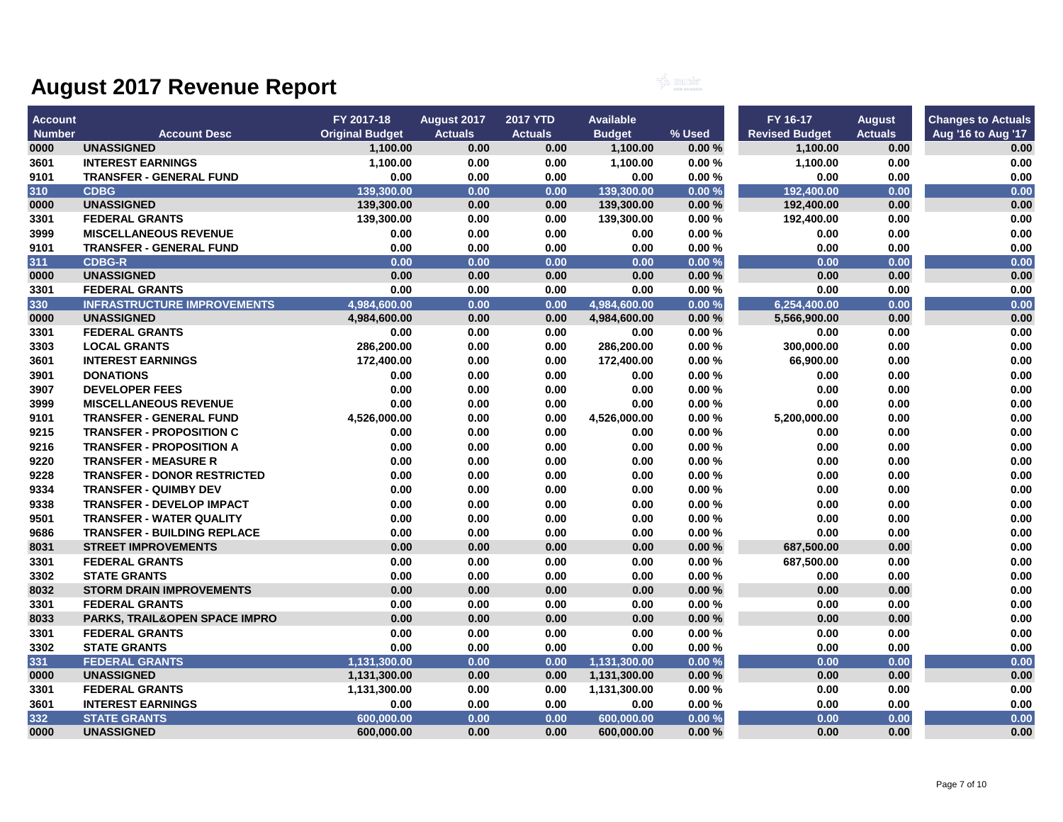

| <b>Account</b> |                                    | FY 2017-18             | August 2017    | <b>2017 YTD</b> | <b>Available</b> |        | FY 16-17              | <b>August</b>  | <b>Changes to Actuals</b> |
|----------------|------------------------------------|------------------------|----------------|-----------------|------------------|--------|-----------------------|----------------|---------------------------|
| <b>Number</b>  | <b>Account Desc</b>                | <b>Original Budget</b> | <b>Actuals</b> | <b>Actuals</b>  | <b>Budget</b>    | % Used | <b>Revised Budget</b> | <b>Actuals</b> | Aug '16 to Aug '17        |
| 0000           | <b>UNASSIGNED</b>                  | 1,100.00               | 0.00           | 0.00            | 1,100.00         | 0.00%  | 1,100.00              | 0.00           | 0.00                      |
| 3601           | <b>INTEREST EARNINGS</b>           | 1,100.00               | 0.00           | 0.00            | 1,100.00         | 0.00%  | 1,100.00              | 0.00           | 0.00                      |
| 9101           | <b>TRANSFER - GENERAL FUND</b>     | 0.00                   | 0.00           | 0.00            | 0.00             | 0.00%  | 0.00                  | 0.00           | 0.00                      |
| 310            | <b>CDBG</b>                        | 139,300.00             | 0.00           | 0.00            | 139,300.00       | 0.00%  | 192,400.00            | 0.00           | 0.00                      |
| 0000           | <b>UNASSIGNED</b>                  | 139,300.00             | 0.00           | 0.00            | 139,300.00       | 0.00%  | 192,400.00            | 0.00           | 0.00                      |
| 3301           | <b>FEDERAL GRANTS</b>              | 139,300.00             | 0.00           | 0.00            | 139,300.00       | 0.00%  | 192,400.00            | 0.00           | 0.00                      |
| 3999           | <b>MISCELLANEOUS REVENUE</b>       | 0.00                   | 0.00           | 0.00            | 0.00             | 0.00%  | 0.00                  | 0.00           | 0.00                      |
| 9101           | <b>TRANSFER - GENERAL FUND</b>     | 0.00                   | 0.00           | 0.00            | 0.00             | 0.00%  | 0.00                  | 0.00           | 0.00                      |
| 311            | <b>CDBG-R</b>                      | 0.00                   | 0.00           | 0.00            | 0.00             | 0.00%  | 0.00                  | 0.00           | 0.00                      |
| 0000           | <b>UNASSIGNED</b>                  | 0.00                   | 0.00           | 0.00            | 0.00             | 0.00%  | 0.00                  | 0.00           | 0.00                      |
| 3301           | <b>FEDERAL GRANTS</b>              | 0.00                   | 0.00           | 0.00            | 0.00             | 0.00%  | 0.00                  | 0.00           | 0.00                      |
| 330            | <b>INFRASTRUCTURE IMPROVEMENTS</b> | 4.984.600.00           | 0.00           | 0.00            | 4.984.600.00     | 0.00%  | 6,254,400.00          | 0.00           | 0.00                      |
| 0000           | <b>UNASSIGNED</b>                  | 4,984,600.00           | 0.00           | 0.00            | 4,984,600.00     | 0.00%  | 5,566,900.00          | 0.00           | 0.00                      |
| 3301           | <b>FEDERAL GRANTS</b>              | 0.00                   | 0.00           | 0.00            | 0.00             | 0.00%  | 0.00                  | 0.00           | 0.00                      |
| 3303           | <b>LOCAL GRANTS</b>                | 286,200.00             | 0.00           | 0.00            | 286,200.00       | 0.00%  | 300,000.00            | 0.00           | 0.00                      |
| 3601           | <b>INTEREST EARNINGS</b>           | 172,400.00             | 0.00           | 0.00            | 172,400.00       | 0.00%  | 66,900.00             | 0.00           | 0.00                      |
| 3901           | <b>DONATIONS</b>                   | 0.00                   | 0.00           | 0.00            | 0.00             | 0.00%  | 0.00                  | 0.00           | 0.00                      |
| 3907           | <b>DEVELOPER FEES</b>              | 0.00                   | 0.00           | 0.00            | 0.00             | 0.00%  | 0.00                  | 0.00           | 0.00                      |
| 3999           | <b>MISCELLANEOUS REVENUE</b>       | 0.00                   | 0.00           | 0.00            | 0.00             | 0.00%  | 0.00                  | 0.00           | 0.00                      |
| 9101           | <b>TRANSFER - GENERAL FUND</b>     | 4,526,000.00           | 0.00           | 0.00            | 4,526,000.00     | 0.00%  | 5,200,000.00          | 0.00           | 0.00                      |
| 9215           | <b>TRANSFER - PROPOSITION C</b>    | 0.00                   | 0.00           | 0.00            | 0.00             | 0.00%  | 0.00                  | 0.00           | 0.00                      |
| 9216           | <b>TRANSFER - PROPOSITION A</b>    | 0.00                   | 0.00           | 0.00            | 0.00             | 0.00%  | 0.00                  | 0.00           | 0.00                      |
| 9220           | <b>TRANSFER - MEASURE R</b>        | 0.00                   | 0.00           | 0.00            | 0.00             | 0.00%  | 0.00                  | 0.00           | 0.00                      |
| 9228           | <b>TRANSFER - DONOR RESTRICTED</b> | 0.00                   | 0.00           | 0.00            | 0.00             | 0.00%  | 0.00                  | 0.00           | 0.00                      |
| 9334           | <b>TRANSFER - QUIMBY DEV</b>       | 0.00                   | 0.00           | 0.00            | 0.00             | 0.00%  | 0.00                  | 0.00           | 0.00                      |
| 9338           | <b>TRANSFER - DEVELOP IMPACT</b>   | 0.00                   | 0.00           | 0.00            | 0.00             | 0.00%  | 0.00                  | 0.00           | 0.00                      |
| 9501           | <b>TRANSFER - WATER QUALITY</b>    | 0.00                   | 0.00           | 0.00            | 0.00             | 0.00%  | 0.00                  | 0.00           | 0.00                      |
| 9686           | <b>TRANSFER - BUILDING REPLACE</b> | 0.00                   | 0.00           | 0.00            | 0.00             | 0.00%  | 0.00                  | 0.00           | 0.00                      |
| 8031           | <b>STREET IMPROVEMENTS</b>         | 0.00                   | 0.00           | 0.00            | 0.00             | 0.00%  | 687,500.00            | 0.00           | 0.00                      |
| 3301           | <b>FEDERAL GRANTS</b>              | 0.00                   | 0.00           | 0.00            | 0.00             | 0.00%  | 687,500.00            | 0.00           | 0.00                      |
| 3302           | <b>STATE GRANTS</b>                | 0.00                   | 0.00           | 0.00            | 0.00             | 0.00%  | 0.00                  | 0.00           | 0.00                      |
| 8032           | <b>STORM DRAIN IMPROVEMENTS</b>    | 0.00                   | 0.00           | 0.00            | 0.00             | 0.00%  | 0.00                  | 0.00           | 0.00                      |
| 3301           | <b>FEDERAL GRANTS</b>              | 0.00                   | 0.00           | 0.00            | 0.00             | 0.00%  | 0.00                  | 0.00           | 0.00                      |
| 8033           | PARKS, TRAIL&OPEN SPACE IMPRO      | 0.00                   | 0.00           | 0.00            | 0.00             | 0.00%  | 0.00                  | 0.00           | 0.00                      |
| 3301           | <b>FEDERAL GRANTS</b>              | 0.00                   | 0.00           | 0.00            | 0.00             | 0.00%  | 0.00                  | 0.00           | 0.00                      |
| 3302           | <b>STATE GRANTS</b>                | 0.00                   | 0.00           | 0.00            | 0.00             | 0.00%  | 0.00                  | 0.00           | 0.00                      |
| 331            | <b>FEDERAL GRANTS</b>              | 1,131,300.00           | 0.00           | 0.00            | 1,131,300.00     | 0.00%  | 0.00                  | 0.00           | 0.00                      |
| 0000           | <b>UNASSIGNED</b>                  | 1,131,300.00           | 0.00           | 0.00            | 1,131,300.00     | 0.00%  | 0.00                  | 0.00           | 0.00                      |
| 3301           | <b>FEDERAL GRANTS</b>              | 1,131,300.00           | 0.00           | 0.00            | 1,131,300.00     | 0.00%  | 0.00                  | 0.00           | 0.00                      |
| 3601           | <b>INTEREST EARNINGS</b>           | 0.00                   | 0.00           | 0.00            | 0.00             | 0.00%  | 0.00                  | 0.00           | 0.00                      |
| 332            | <b>STATE GRANTS</b>                | 600,000.00             | 0.00           | 0.00            | 600,000.00       | 0.00%  | 0.00                  | 0.00           | 0.00                      |
| 0000           | <b>UNASSIGNED</b>                  | 600,000.00             | 0.00           | 0.00            | 600,000.00       | 0.00%  | 0.00                  | 0.00           | 0.00                      |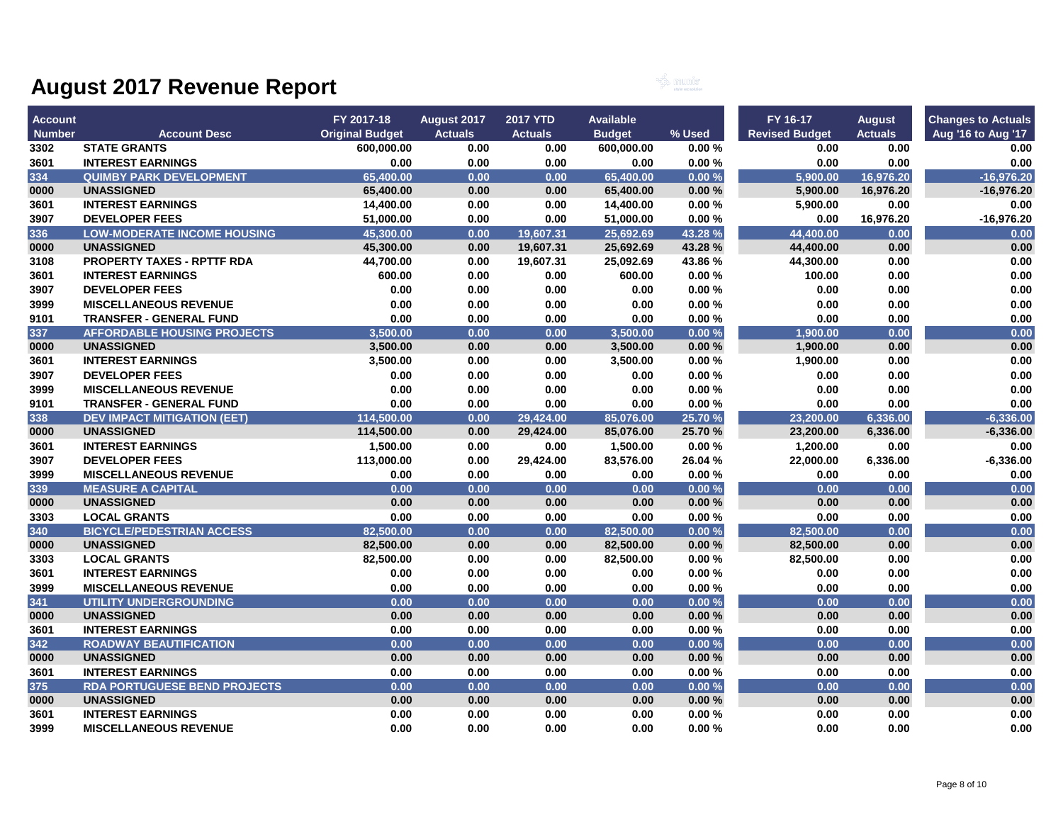

| <b>Account</b> |                                     | FY 2017-18             | August 2017    | <b>2017 YTD</b> | <b>Available</b> |         | FY 16-17              | <b>August</b>  | <b>Changes to Actuals</b> |
|----------------|-------------------------------------|------------------------|----------------|-----------------|------------------|---------|-----------------------|----------------|---------------------------|
| <b>Number</b>  | <b>Account Desc</b>                 | <b>Original Budget</b> | <b>Actuals</b> | <b>Actuals</b>  | <b>Budget</b>    | % Used  | <b>Revised Budget</b> | <b>Actuals</b> | Aug '16 to Aug '17        |
| 3302           | <b>STATE GRANTS</b>                 | 600,000.00             | 0.00           | 0.00            | 600,000.00       | 0.00%   | 0.00                  | 0.00           | 0.00                      |
| 3601           | <b>INTEREST EARNINGS</b>            | 0.00                   | 0.00           | 0.00            | 0.00             | 0.00%   | 0.00                  | 0.00           | 0.00                      |
| 334            | <b>QUIMBY PARK DEVELOPMENT</b>      | 65,400.00              | 0.00           | 0.00            | 65.400.00        | 0.00%   | 5.900.00              | 16,976.20      | $-16,976.20$              |
| 0000           | <b>UNASSIGNED</b>                   | 65,400.00              | 0.00           | 0.00            | 65,400.00        | 0.00%   | 5,900.00              | 16,976.20      | $-16,976.20$              |
| 3601           | <b>INTEREST EARNINGS</b>            | 14,400.00              | 0.00           | 0.00            | 14,400.00        | 0.00%   | 5,900.00              | 0.00           | 0.00                      |
| 3907           | <b>DEVELOPER FEES</b>               | 51,000.00              | 0.00           | 0.00            | 51,000.00        | 0.00%   | 0.00                  | 16,976.20      | $-16,976.20$              |
| 336            | <b>LOW-MODERATE INCOME HOUSING</b>  | 45,300.00              | 0.00           | 19,607.31       | 25,692.69        | 43.28 % | 44.400.00             | 0.00           | 0.00                      |
| 0000           | <b>UNASSIGNED</b>                   | 45,300.00              | 0.00           | 19,607.31       | 25,692.69        | 43.28 % | 44,400.00             | 0.00           | 0.00                      |
| 3108           | PROPERTY TAXES - RPTTF RDA          | 44,700.00              | 0.00           | 19,607.31       | 25,092.69        | 43.86%  | 44,300.00             | 0.00           | 0.00                      |
| 3601           | <b>INTEREST EARNINGS</b>            | 600.00                 | 0.00           | 0.00            | 600.00           | 0.00%   | 100.00                | 0.00           | 0.00                      |
| 3907           | <b>DEVELOPER FEES</b>               | 0.00                   | 0.00           | 0.00            | 0.00             | 0.00%   | 0.00                  | 0.00           | 0.00                      |
| 3999           | <b>MISCELLANEOUS REVENUE</b>        | 0.00                   | 0.00           | 0.00            | 0.00             | 0.00%   | 0.00                  | 0.00           | 0.00                      |
| 9101           | <b>TRANSFER - GENERAL FUND</b>      | 0.00                   | 0.00           | 0.00            | 0.00             | 0.00%   | 0.00                  | 0.00           | 0.00                      |
| 337            | <b>AFFORDABLE HOUSING PROJECTS</b>  | 3.500.00               | 0.00           | 0.00            | 3,500.00         | 0.00%   | 1.900.00              | 0.00           | 0.00                      |
| 0000           | <b>UNASSIGNED</b>                   | 3,500.00               | 0.00           | 0.00            | 3,500.00         | 0.00%   | 1,900.00              | 0.00           | 0.00                      |
| 3601           | <b>INTEREST EARNINGS</b>            | 3,500.00               | 0.00           | 0.00            | 3,500.00         | 0.00%   | 1,900.00              | 0.00           | 0.00                      |
| 3907           | <b>DEVELOPER FEES</b>               | 0.00                   | 0.00           | 0.00            | 0.00             | 0.00%   | 0.00                  | 0.00           | 0.00                      |
| 3999           | <b>MISCELLANEOUS REVENUE</b>        | 0.00                   | 0.00           | 0.00            | 0.00             | 0.00%   | 0.00                  | 0.00           | 0.00                      |
| 9101           | <b>TRANSFER - GENERAL FUND</b>      | 0.00                   | 0.00           | 0.00            | 0.00             | 0.00%   | 0.00                  | 0.00           | 0.00                      |
| 338            | <b>DEV IMPACT MITIGATION (EET)</b>  | 114,500.00             | 0.00           | 29,424.00       | 85,076.00        | 25.70 % | 23,200.00             | 6,336.00       | $-6,336.00$               |
| 0000           | <b>UNASSIGNED</b>                   | 114,500.00             | 0.00           | 29,424.00       | 85,076.00        | 25.70%  | 23,200.00             | 6,336.00       | $-6,336.00$               |
| 3601           | <b>INTEREST EARNINGS</b>            | 1,500.00               | 0.00           | 0.00            | 1,500.00         | 0.00%   | 1,200.00              | 0.00           | 0.00                      |
| 3907           | <b>DEVELOPER FEES</b>               | 113,000.00             | 0.00           | 29,424.00       | 83,576.00        | 26.04 % | 22,000.00             | 6,336.00       | $-6,336.00$               |
| 3999           | <b>MISCELLANEOUS REVENUE</b>        | 0.00                   | 0.00           | 0.00            | 0.00             | 0.00%   | 0.00                  | 0.00           | 0.00                      |
| 339            | <b>MEASURE A CAPITAL</b>            | 0.00                   | 0.00           | 0.00            | 0.00             | 0.00%   | 0.00                  | 0.00           | 0.00                      |
| 0000           | <b>UNASSIGNED</b>                   | 0.00                   | 0.00           | 0.00            | 0.00             | 0.00%   | 0.00                  | 0.00           | 0.00                      |
| 3303           | <b>LOCAL GRANTS</b>                 | 0.00                   | 0.00           | 0.00            | 0.00             | 0.00%   | 0.00                  | 0.00           | 0.00                      |
| 340            | <b>BICYCLE/PEDESTRIAN ACCESS</b>    | 82,500.00              | 0.00           | 0.00            | 82.500.00        | 0.00%   | 82.500.00             | 0.00           | 0.00                      |
| 0000           | <b>UNASSIGNED</b>                   | 82,500.00              | 0.00           | 0.00            | 82,500.00        | 0.00%   | 82,500.00             | 0.00           | 0.00                      |
| 3303           | <b>LOCAL GRANTS</b>                 | 82,500.00              | 0.00           | 0.00            | 82,500.00        | 0.00%   | 82,500.00             | 0.00           | 0.00                      |
| 3601           | <b>INTEREST EARNINGS</b>            | 0.00                   | 0.00           | 0.00            | 0.00             | 0.00%   | 0.00                  | 0.00           | 0.00                      |
| 3999           | <b>MISCELLANEOUS REVENUE</b>        | 0.00                   | 0.00           | 0.00            | 0.00             | 0.00%   | 0.00                  | 0.00           | 0.00                      |
| 341            | <b>UTILITY UNDERGROUNDING</b>       | 0.00                   | 0.00           | 0.00            | 0.00             | 0.00%   | 0.00                  | 0.00           | 0.00                      |
| 0000           | <b>UNASSIGNED</b>                   | 0.00                   | 0.00           | 0.00            | 0.00             | 0.00%   | 0.00                  | 0.00           | 0.00                      |
| 3601           | <b>INTEREST EARNINGS</b>            | 0.00                   | 0.00           | 0.00            | 0.00             | 0.00%   | 0.00                  | 0.00           | 0.00                      |
| 342            | <b>ROADWAY BEAUTIFICATION</b>       | 0.00                   | 0.00           | 0.00            | 0.00             | 0.00%   | 0.00                  | 0.00           | 0.00                      |
| 0000           | <b>UNASSIGNED</b>                   | 0.00                   | 0.00           | 0.00            | 0.00             | 0.00%   | 0.00                  | 0.00           | 0.00                      |
| 3601           | <b>INTEREST EARNINGS</b>            | 0.00                   | 0.00           | 0.00            | 0.00             | 0.00%   | 0.00                  | 0.00           | 0.00                      |
| 375            | <b>RDA PORTUGUESE BEND PROJECTS</b> | 0.00                   | 0.00           | 0.00            | 0.00             | 0.00%   | 0.00                  | 0.00           | 0.00                      |
| 0000           | <b>UNASSIGNED</b>                   | 0.00                   | 0.00           | 0.00            | 0.00             | 0.00%   | 0.00                  | 0.00           | 0.00                      |
| 3601           | <b>INTEREST EARNINGS</b>            | 0.00                   | 0.00           | 0.00            | 0.00             | 0.00%   | 0.00                  | 0.00           | 0.00                      |
| 3999           | <b>MISCELLANEOUS REVENUE</b>        | 0.00                   | 0.00           | 0.00            | 0.00             | 0.00%   | 0.00                  | 0.00           | 0.00                      |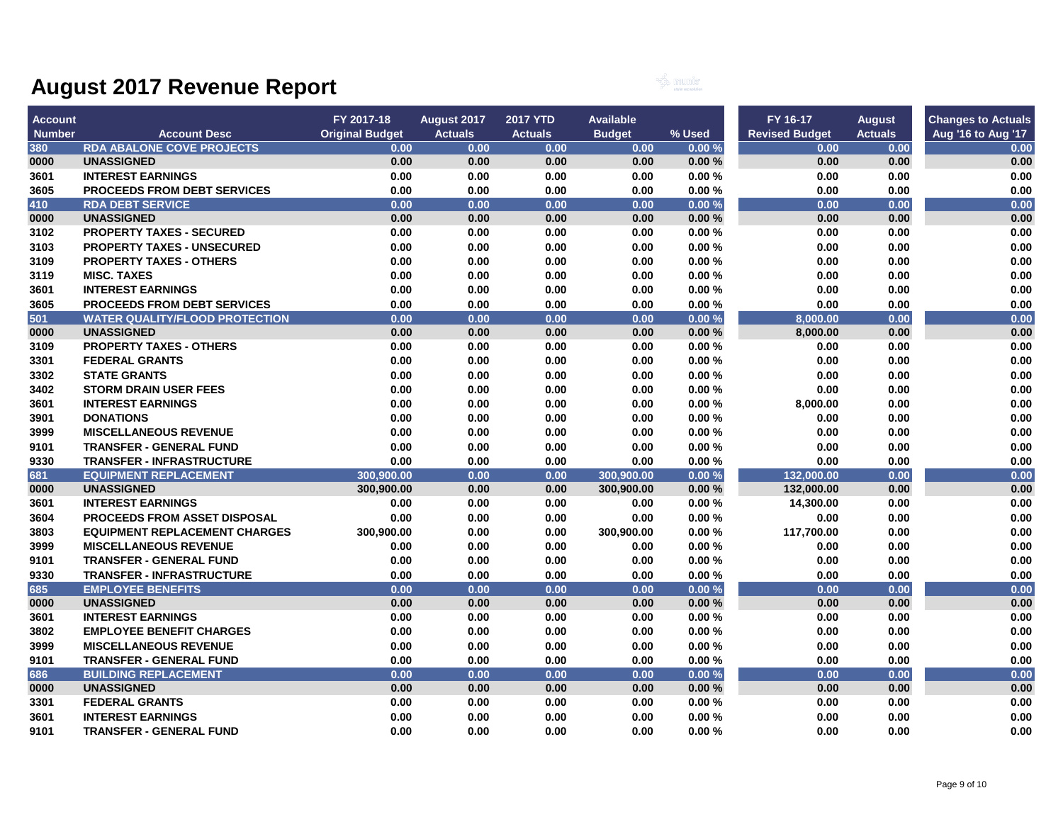

| <b>Account</b> |                                       | FY 2017-18             | <b>August 2017</b> | <b>2017 YTD</b> | <b>Available</b> |        | FY 16-17              | <b>August</b>  | <b>Changes to Actuals</b> |
|----------------|---------------------------------------|------------------------|--------------------|-----------------|------------------|--------|-----------------------|----------------|---------------------------|
| <b>Number</b>  | <b>Account Desc</b>                   | <b>Original Budget</b> | <b>Actuals</b>     | <b>Actuals</b>  | <b>Budget</b>    | % Used | <b>Revised Budget</b> | <b>Actuals</b> | Aug '16 to Aug '17        |
| 380            | <b>RDA ABALONE COVE PROJECTS</b>      | 0.00                   | 0.00               | 0.00            | 0.00             | 0.00%  | 0.00                  | 0.00           | 0.00                      |
| 0000           | <b>UNASSIGNED</b>                     | 0.00                   | 0.00               | 0.00            | 0.00             | 0.00%  | 0.00                  | 0.00           | 0.00                      |
| 3601           | <b>INTEREST EARNINGS</b>              | 0.00                   | 0.00               | 0.00            | 0.00             | 0.00%  | 0.00                  | 0.00           | 0.00                      |
| 3605           | <b>PROCEEDS FROM DEBT SERVICES</b>    | 0.00                   | 0.00               | 0.00            | 0.00             | 0.00%  | 0.00                  | 0.00           | 0.00                      |
| 410            | <b>RDA DEBT SERVICE</b>               | 0.00                   | 0.00               | 0.00            | 0.00             | 0.00%  | 0.00                  | 0.00           | 0.00                      |
| 0000           | <b>UNASSIGNED</b>                     | 0.00                   | 0.00               | 0.00            | 0.00             | 0.00%  | 0.00                  | 0.00           | 0.00                      |
| 3102           | <b>PROPERTY TAXES - SECURED</b>       | 0.00                   | 0.00               | 0.00            | 0.00             | 0.00%  | 0.00                  | 0.00           | 0.00                      |
| 3103           | <b>PROPERTY TAXES - UNSECURED</b>     | 0.00                   | 0.00               | 0.00            | 0.00             | 0.00%  | 0.00                  | 0.00           | 0.00                      |
| 3109           | <b>PROPERTY TAXES - OTHERS</b>        | 0.00                   | 0.00               | 0.00            | 0.00             | 0.00%  | 0.00                  | 0.00           | 0.00                      |
| 3119           | <b>MISC. TAXES</b>                    | 0.00                   | 0.00               | 0.00            | 0.00             | 0.00%  | 0.00                  | 0.00           | 0.00                      |
| 3601           | <b>INTEREST EARNINGS</b>              | 0.00                   | 0.00               | 0.00            | 0.00             | 0.00%  | 0.00                  | 0.00           | 0.00                      |
| 3605           | <b>PROCEEDS FROM DEBT SERVICES</b>    | 0.00                   | 0.00               | 0.00            | 0.00             | 0.00%  | 0.00                  | 0.00           | 0.00                      |
| 501            | <b>WATER QUALITY/FLOOD PROTECTION</b> | 0.00                   | 0.00               | 0.00            | 0.00             | 0.00%  | 8,000.00              | 0.00           | 0.00                      |
| 0000           | <b>UNASSIGNED</b>                     | 0.00                   | 0.00               | 0.00            | 0.00             | 0.00%  | 8,000.00              | 0.00           | 0.00                      |
| 3109           | <b>PROPERTY TAXES - OTHERS</b>        | 0.00                   | 0.00               | 0.00            | 0.00             | 0.00%  | 0.00                  | 0.00           | 0.00                      |
| 3301           | <b>FEDERAL GRANTS</b>                 | 0.00                   | 0.00               | 0.00            | 0.00             | 0.00%  | 0.00                  | 0.00           | 0.00                      |
| 3302           | <b>STATE GRANTS</b>                   | 0.00                   | 0.00               | 0.00            | 0.00             | 0.00%  | 0.00                  | 0.00           | 0.00                      |
| 3402           | <b>STORM DRAIN USER FEES</b>          | 0.00                   | 0.00               | 0.00            | 0.00             | 0.00%  | 0.00                  | 0.00           | 0.00                      |
| 3601           | <b>INTEREST EARNINGS</b>              | 0.00                   | 0.00               | 0.00            | 0.00             | 0.00%  | 8,000.00              | 0.00           | 0.00                      |
| 3901           | <b>DONATIONS</b>                      | 0.00                   | 0.00               | 0.00            | 0.00             | 0.00%  | 0.00                  | 0.00           | 0.00                      |
| 3999           | <b>MISCELLANEOUS REVENUE</b>          | 0.00                   | 0.00               | 0.00            | 0.00             | 0.00%  | 0.00                  | 0.00           | 0.00                      |
| 9101           | <b>TRANSFER - GENERAL FUND</b>        | 0.00                   | 0.00               | 0.00            | 0.00             | 0.00%  | 0.00                  | 0.00           | 0.00                      |
| 9330           | <b>TRANSFER - INFRASTRUCTURE</b>      | 0.00                   | 0.00               | 0.00            | 0.00             | 0.00%  | 0.00                  | $0.00\,$       | 0.00                      |
| 681            | <b>EQUIPMENT REPLACEMENT</b>          | 300,900.00             | 0.00               | 0.00            | 300,900.00       | 0.00%  | 132,000.00            | 0.00           | 0.00                      |
| 0000           | <b>UNASSIGNED</b>                     | 300,900.00             | 0.00               | 0.00            | 300,900.00       | 0.00%  | 132,000.00            | 0.00           | 0.00                      |
| 3601           | <b>INTEREST EARNINGS</b>              | 0.00                   | 0.00               | 0.00            | 0.00             | 0.00%  | 14,300.00             | 0.00           | 0.00                      |
| 3604           | <b>PROCEEDS FROM ASSET DISPOSAL</b>   | 0.00                   | 0.00               | 0.00            | 0.00             | 0.00%  | 0.00                  | 0.00           | 0.00                      |
| 3803           | <b>EQUIPMENT REPLACEMENT CHARGES</b>  | 300,900.00             | 0.00               | 0.00            | 300,900.00       | 0.00%  | 117,700.00            | 0.00           | 0.00                      |
| 3999           | <b>MISCELLANEOUS REVENUE</b>          | 0.00                   | 0.00               | 0.00            | 0.00             | 0.00%  | 0.00                  | 0.00           | 0.00                      |
| 9101           | <b>TRANSFER - GENERAL FUND</b>        | 0.00                   | 0.00               | 0.00            | 0.00             | 0.00%  | 0.00                  | 0.00           | 0.00                      |
| 9330           | <b>TRANSFER - INFRASTRUCTURE</b>      | 0.00                   | 0.00               | 0.00            | 0.00             | 0.00%  | 0.00                  | 0.00           | 0.00                      |
| 685            | <b>EMPLOYEE BENEFITS</b>              | 0.00                   | 0.00               | 0.00            | 0.00             | 0.00%  | 0.00                  | 0.00           | 0.00                      |
| 0000           | <b>UNASSIGNED</b>                     | 0.00                   | 0.00               | 0.00            | 0.00             | 0.00%  | 0.00                  | 0.00           | 0.00                      |
| 3601           | <b>INTEREST EARNINGS</b>              | 0.00                   | 0.00               | 0.00            | 0.00             | 0.00%  | 0.00                  | 0.00           | 0.00                      |
| 3802           | <b>EMPLOYEE BENEFIT CHARGES</b>       | 0.00                   | 0.00               | 0.00            | 0.00             | 0.00%  | 0.00                  | 0.00           | 0.00                      |
| 3999           | <b>MISCELLANEOUS REVENUE</b>          | 0.00                   | 0.00               | 0.00            | 0.00             | 0.00%  | 0.00                  | 0.00           | 0.00                      |
| 9101           | <b>TRANSFER - GENERAL FUND</b>        | 0.00                   | 0.00               | 0.00            | 0.00             | 0.00%  | 0.00                  | 0.00           | 0.00                      |
| 686            | <b>BUILDING REPLACEMENT</b>           | 0.00                   | 0.00               | 0.00            | 0.00             | 0.00%  | 0.00                  | 0.00           | 0.00                      |
| 0000           | <b>UNASSIGNED</b>                     | 0.00                   | 0.00               | 0.00            | 0.00             | 0.00%  | 0.00                  | 0.00           | 0.00                      |
| 3301           | <b>FEDERAL GRANTS</b>                 | 0.00                   | 0.00               | 0.00            | 0.00             | 0.00%  | 0.00                  | 0.00           | 0.00                      |
| 3601           | <b>INTEREST EARNINGS</b>              | 0.00                   | 0.00               | 0.00            | 0.00             | 0.00%  | 0.00                  | 0.00           | 0.00                      |
| 9101           | <b>TRANSFER - GENERAL FUND</b>        | 0.00                   | 0.00               | 0.00            | 0.00             | 0.00%  | 0.00                  | 0.00           | 0.00                      |